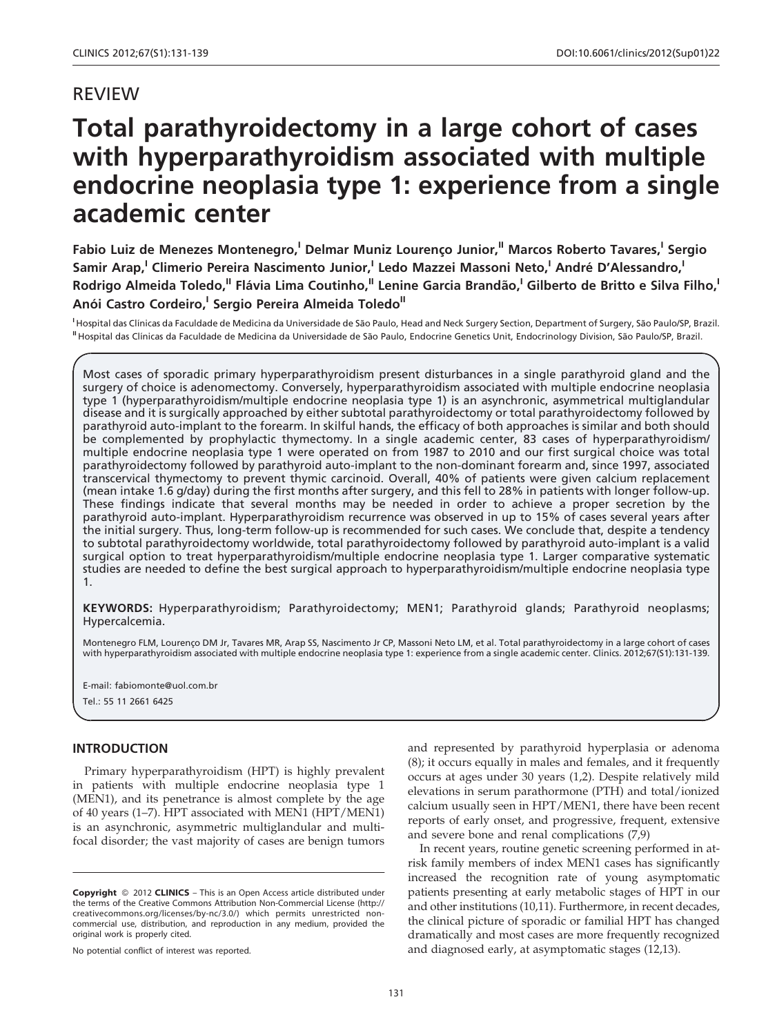# REVIEW

# Total parathyroidectomy in a large cohort of cases with hyperparathyroidism associated with multiple endocrine neoplasia type 1: experience from a single academic center

Fabio Luiz de Menezes Montenegro,<sup>I</sup> Delmar Muniz Lourenço Junior,<sup>II</sup> Marcos Roberto Tavares,<sup>I</sup> Sergio Samir Arap,<sup>I</sup> Climerio Pereira Nascimento Junior,<sup>I</sup> Ledo Mazzei Massoni Neto,<sup>I</sup> André D'Alessandro,<sup>I</sup> Rodrigo Almeida Toledo,<sup>II</sup> Flávia Lima Coutinho,<sup>II</sup> Lenine Garcia Brandão,<sup>I</sup> Gilberto de Britto e Silva Filho,<sup>I</sup> Anói Castro Cordeiro,<sup>I</sup> Sergio Pereira Almeida Toledo<sup>II</sup>

<sup>I</sup> Hospital das Clínicas da Faculdade de Medicina da Universidade de São Paulo, Head and Neck Surgery Section, Department of Surgery, São Paulo/SP, Brazil. <sup>II</sup> Hospital das Clínicas da Faculdade de Medicina da Universidade de São Paulo, Endocrine Genetics Unit, Endocrinology Division, São Paulo/SP, Brazil.

Most cases of sporadic primary hyperparathyroidism present disturbances in a single parathyroid gland and the surgery of choice is adenomectomy. Conversely, hyperparathyroidism associated with multiple endocrine neoplasia type 1 (hyperparathyroidism/multiple endocrine neoplasia type 1) is an asynchronic, asymmetrical multiglandular disease and it is surgically approached by either subtotal parathyroidectomy or total parathyroidectomy followed by parathyroid auto-implant to the forearm. In skilful hands, the efficacy of both approaches is similar and both should be complemented by prophylactic thymectomy. In a single academic center, 83 cases of hyperparathyroidism/ multiple endocrine neoplasia type 1 were operated on from 1987 to 2010 and our first surgical choice was total parathyroidectomy followed by parathyroid auto-implant to the non-dominant forearm and, since 1997, associated transcervical thymectomy to prevent thymic carcinoid. Overall, 40% of patients were given calcium replacement (mean intake 1.6 g/day) during the first months after surgery, and this fell to 28% in patients with longer follow-up. These findings indicate that several months may be needed in order to achieve a proper secretion by the parathyroid auto-implant. Hyperparathyroidism recurrence was observed in up to 15% of cases several years after the initial surgery. Thus, long-term follow-up is recommended for such cases. We conclude that, despite a tendency to subtotal parathyroidectomy worldwide, total parathyroidectomy followed by parathyroid auto-implant is a valid surgical option to treat hyperparathyroidism/multiple endocrine neoplasia type 1. Larger comparative systematic studies are needed to define the best surgical approach to hyperparathyroidism/multiple endocrine neoplasia type 1.

KEYWORDS: Hyperparathyroidism; Parathyroidectomy; MEN1; Parathyroid glands; Parathyroid neoplasms; Hypercalcemia.

Montenegro FLM, Lourenço DM Jr, Tavares MR, Arap SS, Nascimento Jr CP, Massoni Neto LM, et al. Total parathyroidectomy in a large cohort of cases with hyperparathyroidism associated with multiple endocrine neoplasia type 1: experience from a single academic center. Clinics. 2012;67(S1):131-139.

E-mail: fabiomonte@uol.com.br

#### Tel.: 55 11 2661 6425

## INTRODUCTION

Primary hyperpar[athyroidism](#page-6-0) [\(HPT\)](#page-6-0) [is](#page-6-0) [highly](#page-6-0) [prevalent](#page-6-0) in pati[ents with multiple endocrine neoplasia type 1](#page-6-0) (MEN1), [and its penetrance is almost complete by the age](#page-6-0) of 40 years (1–7). HPT associated with MEN1 (HPT/MEN1) is an asynchronic, asymmetric multiglandular and multifocal disorder; the vast majority of cases are benign tumors

No potential conflict of interest was reported.

and rep[resented by parathyroid hyperplasia or adenoma](#page-6-0) (8); it oc[curs equally in males and females, and it frequently](#page-6-0) occurs a[t ages under 30 years \(1,2\). Despite relatively mild](#page-6-0) elevatio[ns in serum parathormone \(PTH\) and total/ion](#page-6-0)ized calcium usually seen in HPT/MEN1, there have been recent reports of early onset, and progressive, frequent, extensive and severe bone and renal complications (7,9)

In recent years, routine genetic screening performed in atrisk family members of index [MEN1 cases has significantly](#page-6-0) increase[d the recognition rate of young asymptomatic](#page-6-0) patients [presenting at early metabolic stages of HPT in our](#page-6-0) and oth[er institutions \(10,11\). Furthermore, in recent decades,](#page-6-0) the clinical picture of sporadic or familial HPT has changed dramatically and most cases are more frequently recognized and diagnosed early, at asymptomatic stages (12,13).

Copyright © 2012 CLINICS - This is an Open Access article distributed under the terms of the Creative Commons Attribution Non-Commercial License (http:// creativecommons.org/licenses/by-nc/3.0/) which permits unrestricted noncommercial use, distribution, and reproduction in any medium, provided the original work is properly cited.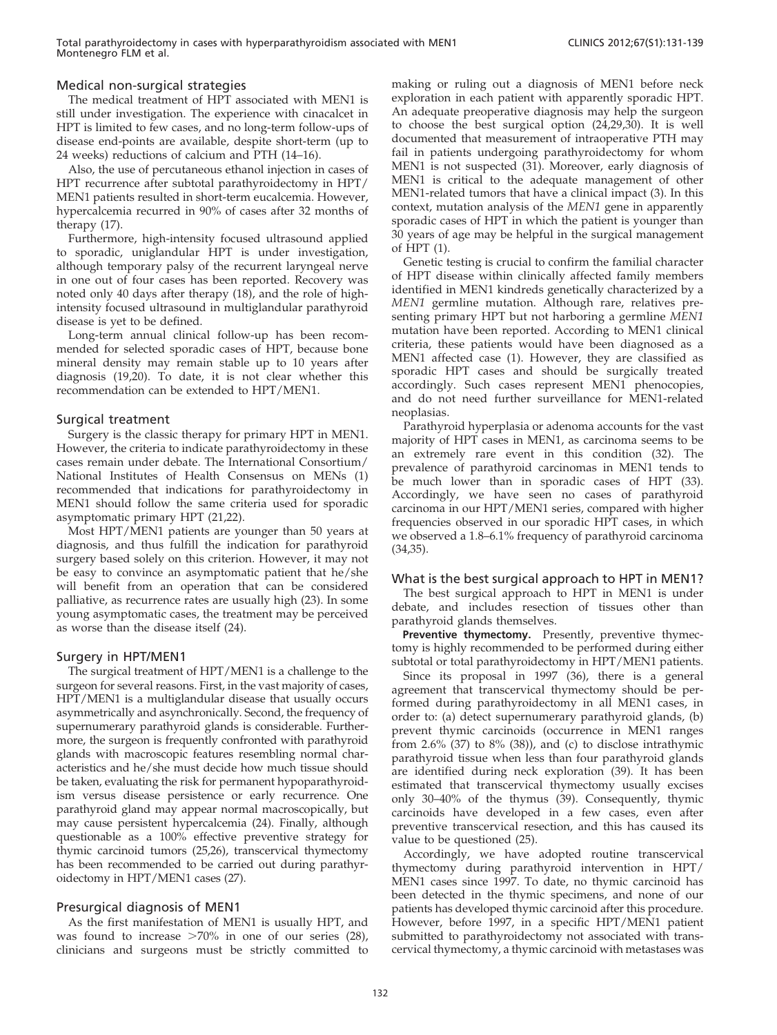# Medical non-surgical strategies

The medical treatment of HPT associated with MEN1 is still under investigation. The experience with cinac[alcet in](#page-6-0) HPT is limited to few cases, and no long-term follow-ups of disease end-points are available, despite short-term (up to 24 weeks) reductions of calcium and PTH (14–16).

Also, the use of percutaneous ethanol injection in cases of HPT recurrence [after](#page-6-0) subtotal parathyroidectomy in HPT/ MEN1 patients resulted in short-term eucalcemia. However, hypercalcemia recurred in 90% of cases after 32 months of therapy (17).

Furthermore, high-intensity focused ultrasound applied to sporadic, uniglandular HPT is und[er](#page-6-0) [investigation,](#page-6-0) althoug[h temporary palsy of the recurrent laryngeal nerve](#page-6-0) in one o[ut](#page-6-0) [of](#page-6-0) [four](#page-6-0) [cases](#page-6-0) [has](#page-6-0) [been](#page-6-0) [re](#page-6-0)ported. Recovery was noted only 40 days after therapy (18), and the role of highintensity focused ultrasound in multiglandular parathyroid disease is yet to be defined.

Long-term annua[l clinical follow-up has been recom](#page-6-0)mended [for](#page-6-0) [selected](#page-6-0) [sporadic](#page-6-0) [cases](#page-6-0) [of](#page-6-0) [HPT,](#page-6-0) [because](#page-6-0) [bone](#page-6-0) mineral density may remain stable up to 10 years after diagnosis (19,20). To date, it is not clear whether this recommendation can be extended to HPT/MEN1.

# Surgical treatment

Surgery is the classic therapy for primary HPT in MEN1. Howeve[r,](#page-6-0) [the](#page-6-0) [criteria](#page-6-0) [to](#page-6-0) [indicate](#page-6-0) [parathyroidectomy](#page-6-0) [in](#page-6-0) [these](#page-6-0) cases re[main under debate. The International Consortium/](#page-6-0) National [Institutes](#page-7-0) [of](#page-7-0) [Health](#page-7-0) [Consensus](#page-7-0) on MENs (1) recommended that indications for parathyroidectomy in MEN1 should follow the same criteria used for sporadic asymptomatic primary HPT (21,22).

Most HPT/MEN1 patients are younger than 50 years at diagnosis, and thus fulfill the indication for parathyroid surgery based solely on this criterion. However, it may not be easy [to convince an asymptomatic patient that he/she](#page-7-0) will be[nefit](#page-7-0) [from](#page-7-0) [an](#page-7-0) [operation](#page-7-0) [that](#page-7-0) [can](#page-7-0) [b](#page-7-0)e considered palliative, as recurrence rates are usually high (23). In some young asymptomatic cases, the treatment may be perceived as worse than the disease itself (24).

## Surgery in HPT/MEN1

The surgical treatment of HPT/MEN1 is a challenge to the surgeon for several reasons. First, in the vast majority of cases, HPT/MEN1 is a multiglandular disease that usually occurs asymmetrically and asynchronically. Second, the frequency of supernumerary parathyroid glands is considerable. Furthermore, the surgeon is frequently confronted with parathyroid glands with macroscopic features resembling normal characteristics and he/she must decide how much tissue should be taken, evaluating the risk for permanent hyp[oparathyroid](#page-7-0)ism ver[sus disease persistence or early recurrence. One](#page-7-0) parathyr[oid](#page-7-0) [gland](#page-7-0) [may](#page-7-0) [appear](#page-7-0) [normal](#page-7-0) [macroscopically,](#page-7-0) [but](#page-7-0) may ca[use persistent hypercalcemia \(24\). Finally, although](#page-7-0) question[able](#page-7-0) [as](#page-7-0) [a](#page-7-0) [100%](#page-7-0) [effective](#page-7-0) [preventiv](#page-7-0)e strategy for thymic carcinoid tumors (25,26), transcervical thymectomy has been recommended to be carried out during parathyroidectomy in HPT/MEN1 cases (27).

## Presur[gical diagnosis of MEN1](#page-7-0)

As the first manifestation of MEN1 is usually HPT, and was found to increase  $>70\%$  in one of our series (28), clinicians and surgeons must be strictly committed to making [or](#page-7-0) [ruling](#page-7-0) [out](#page-7-0) [a](#page-7-0) [diagnosis](#page-7-0) [of](#page-7-0) [MEN1](#page-7-0) [before](#page-7-0) [neck](#page-7-0) explorat[ion](#page-7-0) [in](#page-7-0) [each](#page-7-0) [patient](#page-7-0) [with](#page-7-0) [apparently](#page-7-0) [sporadic](#page-7-0) [HPT.](#page-7-0) An ade[quate preoperative diagnosis may help the surgeon](#page-7-0) to choo[se](#page-7-0) [the](#page-7-0) [best](#page-7-0) [surgical](#page-7-0) [option](#page-7-0) [\(24,29,30\).](#page-7-0) [It](#page-7-0) [is](#page-7-0) [well](#page-7-0) docume[nted that measurement of intraoperative PTH may](#page-7-0) fail in [patients](#page-6-0) [undergoing](#page-6-0) [parathyroidectomy](#page-6-0) [for](#page-6-0) [whom](#page-6-0) MEN1 i[s not suspected \(31\). Moreover, early diagnosis of](#page-6-0) MEN1 i[s](#page-6-0) [critical](#page-6-0) [to](#page-6-0) [the](#page-6-0) [adequate](#page-6-0) [management](#page-6-0) [of](#page-6-0) [other](#page-6-0) MEN1-r[elated tumors that have a clinical impact \(3\). In this](#page-6-0) context, [mutation](#page-6-0) [an](#page-6-0)alysis of the MEN1 gene in apparently sporadic cases of HPT in which the patient is younger than 30 years of age may be helpful in the surgical management of HPT (1).

Genetic testing is crucial to confirm the familial character of HPT disease within clinically affected family members identified in MEN1 kindreds genetically characterized by a MEN1 germline mutation. Although rare, relatives presenting primary HPT but not [harboring](#page-6-0) [a](#page-6-0) [germline](#page-6-0) MEN1 mutatio[n have been reported. According to MEN1 clinical](#page-6-0) criteria, [these](#page-6-0) [patients](#page-6-0) [would](#page-6-0) [have](#page-6-0) [been](#page-6-0) [diagnosed](#page-6-0) [as](#page-6-0) [a](#page-6-0) MEN1 [affected case \(1\). However, they are classified as](#page-6-0) sporadic [HPT](#page-6-0) [case](#page-6-0)s and should be surgically treated accordingly. Such cases represent MEN1 phenocopies, and do not need further surveillance for MEN1-relate[d](#page-7-0) neoplasias.

[Pa](#page-6-0)rat[hyroid](#page-7-0) [hyperplasia](#page-7-0) [or](#page-7-0) [adenoma](#page-7-0) [accounts](#page-7-0) [for](#page-7-0) [the](#page-7-0) [vast](#page-7-0) majority [of](#page-7-0) [HPT](#page-7-0) [cases](#page-7-0) [in](#page-7-0) [MEN1,](#page-7-0) [as](#page-7-0) [carcinoma](#page-7-0) [seems](#page-7-0) [to](#page-7-0) [be](#page-7-0) an extr[emely](#page-7-0) [rare](#page-7-0) [event](#page-7-0) [in](#page-7-0) [this](#page-7-0) [condition](#page-7-0) [\(32\).](#page-7-0) [The](#page-7-0) prevale[nce](#page-7-0) [of](#page-7-0) [parathyroid](#page-7-0) [carcinomas](#page-7-0) [in](#page-7-0) [MEN1](#page-7-0) [tends](#page-7-0) [to](#page-7-0) be muc[h](#page-7-0) [lower](#page-7-0) [than](#page-7-0) [in](#page-7-0) [sporadic](#page-7-0) [cases](#page-7-0) [of](#page-7-0) [HPT](#page-7-0) [\(33\).](#page-7-0) Accordi[ngly,](#page-7-0) [we](#page-7-0) [have](#page-7-0) [seen](#page-7-0) [no](#page-7-0) [cases](#page-7-0) [of](#page-7-0) [parathyroid](#page-7-0) carcino[ma](#page-7-0) [in](#page-7-0) [ou](#page-7-0)r HPT/MEN1 series, compared with higher frequencies observed in our sporadic HPT cases, in which we observed a 1.8–6.1% frequency of parathyroid carcinoma [\(34,3](#page-7-0)5).

## What is the best surgical approach to HPT in MEN1?

The best surgical approach to HPT in MEN1 is under debate, and includes resection of tissues other than parathyroid glands themselves.

Pr[eventive](#page-7-0) thymectomy. Presently, preventive [thymec](#page-7-0)tomy is [highly recommended to be performed during either](#page-7-0) subtotal [or](#page-7-0) [total](#page-7-0) [parathyroidectomy](#page-7-0) [in](#page-7-0) [HPT/MEN1](#page-7-0) [patients.](#page-7-0)

Since [its proposal in 1997 \(36\), there is a general](#page-7-0) agreeme[nt](#page-7-0) [that](#page-7-0) [transcervical](#page-7-0) [thymectomy](#page-7-0) [should](#page-7-0) [be](#page-7-0) [per](#page-7-0)formed [during parathyroidectomy in all MEN1 cases, in](#page-7-0) order to[:](#page-7-0) [\(a\)](#page-7-0) [detect](#page-7-0) [supernumerary](#page-7-0) [parathyroid](#page-7-0) [glands,](#page-7-0) [\(b\)](#page-7-0) prevent [thymic carcinoids \(occurrence in MEN1 ranges](#page-7-0) from 2.6[%](#page-7-0)  $(37)$  [to](#page-7-0) [8%](#page-7-0)  $(38)$ , [and](#page-7-0)  $(c)$  to [disclose](#page-7-0) [intrathymic](#page-7-0) parathyr[oid tissue when less than four parathyroid glands](#page-7-0) are ide[ntified](#page-7-0) [during](#page-7-0) [neck](#page-7-0) [exploration](#page-7-0) [\(39\).](#page-7-0) [It](#page-7-0) [has](#page-7-0) [been](#page-7-0) estimate[d](#page-7-0) [that](#page-7-0) [transcervical](#page-7-0) [thymectomy](#page-7-0) [usually](#page-7-0) [excises](#page-7-0) only 30[–40%](#page-7-0) [of](#page-7-0) [the](#page-7-0) [thymus](#page-7-0) [\(39\).](#page-7-0) Consequently, thymic carcinoids have developed in a few cases, even after preventive transcervical resection, and this has caused its value to be questioned (25).

Accordingly, we have adopted routine transcervical thymectomy during parathyroid intervention in HPT/ MEN1 cases since 1997. To date, no thymic carcinoid has [been](#page-7-0) detected in the thymic specimens, and none of our patients has developed thymic carcinoid after this procedure. However, before 1997, in a specific HPT/MEN1 patient submitted to parathyroidectomy not associated with transcervical thymectomy, a thymic carcinoid with metastases was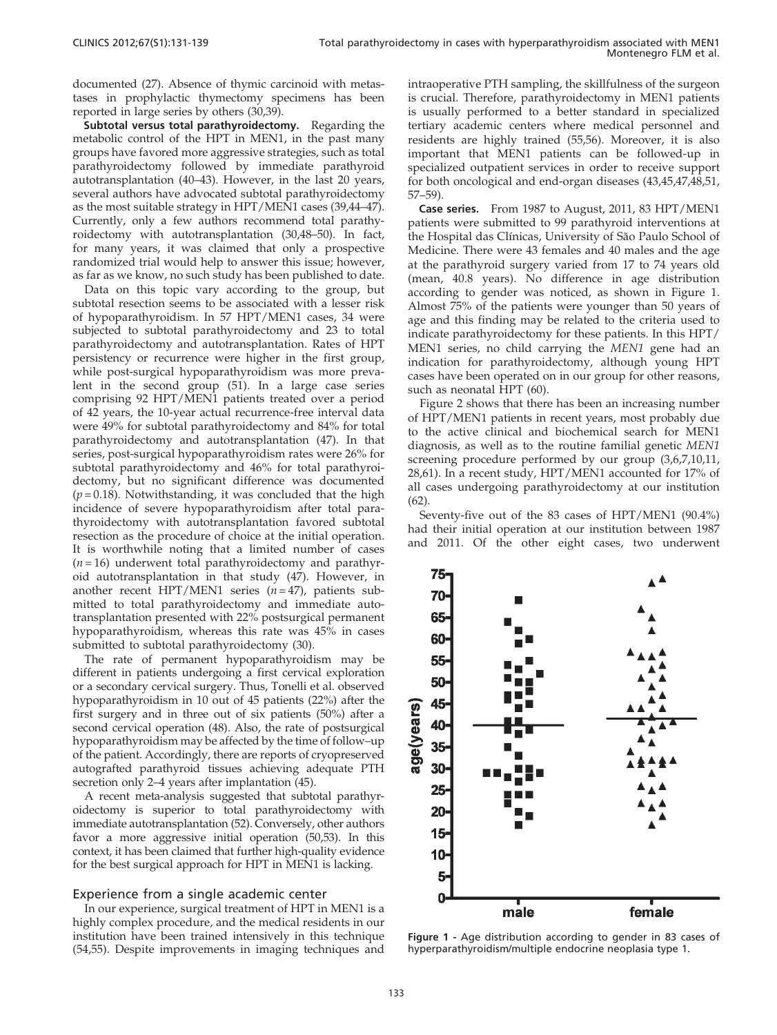documented (27). Absence of thymic carcinoid with metastases in prophylactic thymectomy specimens has been reported in large series by others (30,39).

Subtotal versus total parathyroidectomy. Regarding the metabolic control of the HP[T](#page-7-0) [in](#page-7-0) [MEN1,](#page-7-0) [in](#page-7-0) [the](#page-7-0) [past](#page-7-0) [many](#page-7-0) groups [have](#page-7-0) [favored](#page-7-0) [more](#page-7-0) [aggressive](#page-7-0) [strategies,](#page-7-0) [such](#page-7-0) [as](#page-7-0) [total](#page-7-0) parathy[roidectomy followed by immediate parathyroid](#page-7-0) autotran[splantation](#page-7-0) [\(40–43\).](#page-7-0) [However,](#page-7-0) [in](#page-7-0) [the](#page-7-0) [last](#page-7-0) [20](#page-7-0) [years,](#page-7-0) several [authors have advocated subtotal parathyroidectomy](#page-7-0) as the m[ost](#page-7-0) [suitable](#page-7-0) [strategy](#page-7-0) [in](#page-7-0) [HPT/MEN1](#page-7-0) [cases](#page-7-0) [\(39,44–47\).](#page-7-0) Currentl[y, only a few authors recommend total parathy](#page-7-0)roidecto[my](#page-7-0) [with](#page-7-0) [autotransplantation](#page-7-0) [\(30,48–50\).](#page-7-0) [In](#page-7-0) [fact,](#page-7-0) for many years, it was claimed that only a prospective randomized trial would help to answer this issue; however, as far as we know, no such study has been published to date.

Data on this topic vary according to the group, but subtotal resection seems to be associated with a lesser risk of hypoparathyroidism. In 57 HPT/MEN1 cases, 34 were subjected to subtotal parathyroidectomy and 23 to total parathyroidectomy and autotransplan[tation.](#page-7-0) [Rates](#page-7-0) [of](#page-7-0) [HPT](#page-7-0) persiste[ncy](#page-7-0) [or](#page-7-0) [recurrence](#page-7-0) [were](#page-7-0) [higher](#page-7-0) [in](#page-7-0) [the](#page-7-0) [first](#page-7-0) [group,](#page-7-0) while p[ost-surgical](#page-7-0) [hypoparathyroidism](#page-7-0) [was](#page-7-0) [more](#page-7-0) [preva](#page-7-0)lent in [the](#page-7-0) [second](#page-7-0) [group](#page-7-0) [\(51\).](#page-7-0) [In](#page-7-0) [a](#page-7-0) [large](#page-7-0) [case](#page-7-0) [series](#page-7-0) compris[ing](#page-7-0) [92](#page-7-0) [HPT/MEN1](#page-7-0) [patients](#page-7-0) [treated](#page-7-0) [over](#page-7-0) [a](#page-7-0) [period](#page-7-0) of 42 ye[ars,](#page-7-0) [the](#page-7-0) [10-year](#page-7-0) [actual](#page-7-0) [recurrence-free](#page-7-0) [interval](#page-7-0) [data](#page-7-0) were 49[%](#page-7-0) [for](#page-7-0) [subtotal](#page-7-0) [parathyroidectomy](#page-7-0) [and](#page-7-0) [84%](#page-7-0) [for](#page-7-0) [total](#page-7-0) parathy[roidectomy](#page-7-0) [and](#page-7-0) [autotransplantation](#page-7-0) [\(47\).](#page-7-0) [In](#page-7-0) [that](#page-7-0) series, p[ost-surgical](#page-7-0) [hypoparathyroidism](#page-7-0) [rates](#page-7-0) [were](#page-7-0) [26%](#page-7-0) [for](#page-7-0) subtotal [parathyroidectomy and 46% for total parathyroi](#page-7-0)dectom[y,](#page-7-0) [but](#page-7-0) [no](#page-7-0) [significant](#page-7-0) [difference](#page-7-0) [was](#page-7-0) [documented](#page-7-0)  $(p=0.18)$ . Notwithstanding, it was concluded that the high incidenc[e](#page-7-0) [of](#page-7-0) [severe](#page-7-0) [hypoparathyroidism](#page-7-0) [after](#page-7-0) [total](#page-7-0) [para](#page-7-0)thyroide[ctomy with autotransplantation favored subtotal](#page-7-0) resectio[n](#page-7-0) [as](#page-7-0) [the](#page-7-0) [procedure](#page-7-0) [of](#page-7-0) [choice](#page-7-0) [at](#page-7-0) [the](#page-7-0) [initial](#page-7-0) [operation.](#page-7-0) It is w[orthwhile noting that a limited number of cases](#page-7-0)  $(n=16)$  [underwent](#page-7-0) [total](#page-7-0) [parathyroidectomy](#page-7-0) [and](#page-7-0) [parathyr](#page-7-0)oid aut[otransplantation in that study \(47\). However, in](#page-7-0) another [recent](#page-7-0) [HPT/MEN1](#page-7-0) [series](#page-7-0)  $(n=47)$  $(n=47)$ , patients submitted [to total parathyroidectomy and immediate a](#page-7-0)utotransplantation presented with 22% postsurgical permanent hypoparathyroidism, whereas this rate was 45% in cases submitted to subtotal parathyroidectomy (30).

The rate of permanent hypoparathyroidism may be different in patients undergoing a first cervical exploration or a secondary cervical surgery. Th[us,](#page-7-0) [Tonelli](#page-7-0) [et](#page-7-0) [al.](#page-7-0) [observed](#page-7-0) hypopar[athyroidism](#page-7-0) [in](#page-7-0) [10](#page-7-0) [out](#page-7-0) [of](#page-7-0) [45](#page-7-0) [patients](#page-7-0) [\(22%\)](#page-7-0) [after](#page-7-0) [the](#page-7-0) first sur[gery and in three out of six patients \(50%\) after a](#page-7-0) second [cervical](#page-7-0) [operation](#page-7-0) [\(48\).](#page-7-0) [Also,](#page-7-0) [the](#page-7-0) [rate](#page-7-0) [of](#page-7-0) [postsurgical](#page-7-0) hypopar[athyroidism may be affected by the time of follow](#page-7-0)–up of the patient. Accordingly, there are reports of cryopreserved autografted parathyroid tissues achieving adequate PTH secretion only 2–4 years after implantati[on \(45\).](#page-7-0)

A rec[ent](#page-7-0) [meta-analysis](#page-7-0) [suggested](#page-7-0) [that](#page-7-0) [subtotal](#page-7-0) [parathyr](#page-7-0)oidecto[my is superior to total parathyroidectomy with](#page-7-0) immediate autotransplantation [\(52\).](#page-7-0) [Conversely,](#page-7-0) [other](#page-7-0) [authors](#page-7-0) favor a more aggressive initial operation (50,53). In this context, it has been claimed that further high-quality evidence for the best surgical approach for HPT in MEN1 is lacking.

#### Experience from a single academic center

In our [experience,](#page-7-0) [surgical](#page-7-0) [treatment](#page-7-0) [of](#page-7-0) [HPT](#page-7-0) [in](#page-7-0) [MEN1](#page-7-0) [is](#page-7-0) [a](#page-7-0) highly complex procedure, and the medical residents in our institution have been trained intensively in this technique (54,55). Despite improvements in imaging techniques and intraope[rative](#page-7-0) [PTH](#page-7-0) [sampling,](#page-7-0) [the](#page-7-0) [skillfulness](#page-7-0) [of](#page-7-0) [the](#page-7-0) [surgeon](#page-7-0) is crucia[l. Therefore, parathyroidectomy in MEN1 patients](#page-7-0) is usual[ly performed to a better standard in specialized](#page-7-0) tertiary [academic](#page-7-0) [centers](#page-7-0) [where](#page-7-0) [medical](#page-7-0) [personnel](#page-7-0) [and](#page-7-0) resident[s are highly trained \(55,56\). Moreover, it is also](#page-7-0) importa[nt that](#page-7-0) MEN1 patients can be followed-up in specialized outpatient services in order to receive support for both oncological and end-organ diseases (43,45,47,48,51, 57–59).

Case series. From 1987 to August, 2011, 83 HPT/MEN1 patients were submitted to 99 parathyroid interventions at the Hospital das Clínicas, University of São Paulo School of Medicine. There were 43 females and 40 males and the age at the parathyroid surgery varied from 17 to 74 years old (mean, 40.8 years). No difference in age distribution according to gender was noticed, as shown in Figure 1. Almost 75% of the patients were younger than 50 years of age and this finding may be related to the criteria used to indicate parathyroidectomy for these patients. In this HPT/ MEN1 [series, no child carrying th](#page-7-0)e MEN1 gene had an indication [for parathyroidectomy, although young HPT](#page-3-0) cases ha[ve been operated on in our group for other reasons,](#page-3-0) such as [neonatal HPT \(60\).](#page-3-0)

Figur[e 2 shows that there has been an increasing number](#page-3-0) of HPT[/MEN1 patients in recent years, most probably due](#page-6-0) to the [active clinical and biochemical search for MEN1](#page-6-0) diagnosi[s, as well as to the routine familial genetic](#page-6-0) MEN1 screenin[g pro](#page-7-0)cedure performed by our group (3,6,7,10,11, 28,61). In a recent study, HPT/MEN1 accounted for 17% of all cases undergoing parathyroidectomy at our institution (62).

Seventy-five out of the 83 cases of HPT/MEN1 (90.4%) had their initial operation at our institution between 1987 and 2011. Of the other eight cases, two underwent



Figure 1 - Age distribution according to gender in 83 cases of hyperparathyroidism/multiple endocrine neoplasia type 1.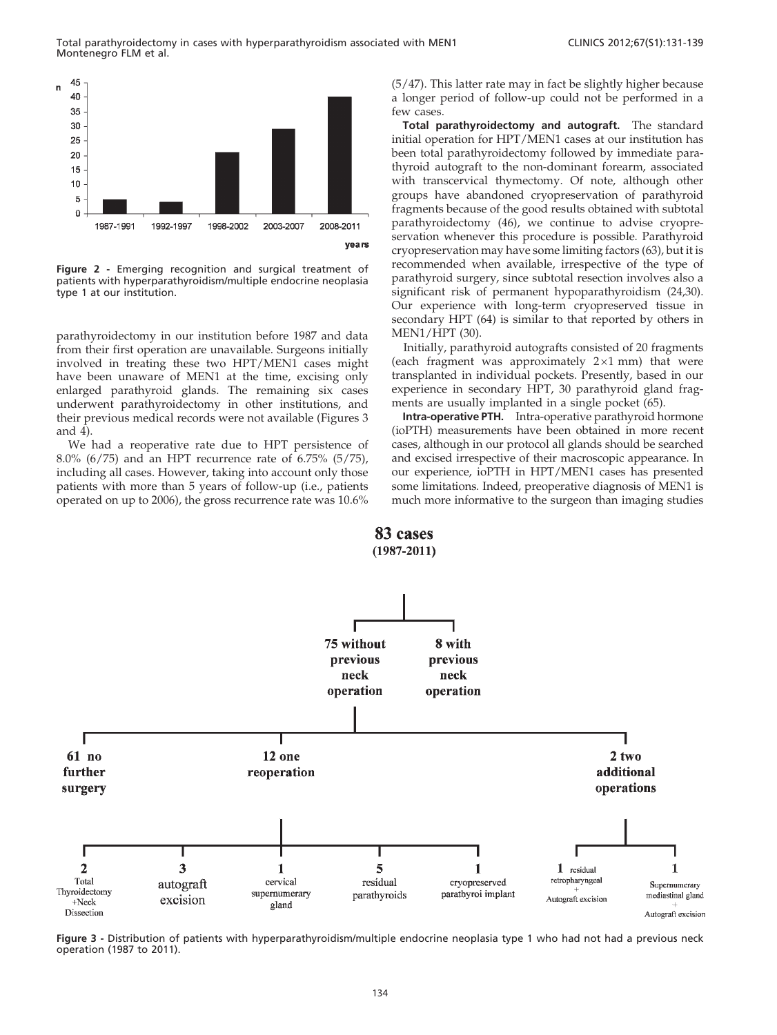<span id="page-3-0"></span>

Figure 2 - Emerging recognition and surgical treatment of patients with hyperparathyroidism/multiple endocrine neoplasia type 1 at our institution.

parathyroidectomy in our institution before 1987 and data from their first operation are unavailable. Surgeons initially involved in treating these two HPT/MEN1 cases might have been unaware of MEN1 at the time, excising only enlarge[d](#page-4-0) [parath](#page-4-0)yroid glands. The remaining six cases underwent parathyroidectomy in other institutions, and their previous medical records were not available (Figures 3 and  $\overline{4}$ ).

We had a reoperative rate due to HPT persistence of 8.0% (6/75) and an HPT recurrence rate of 6.75% (5/75), including all cases. However, taking into account only those patients with more than 5 years of follow-up (i.e., patients operated on up to 2006), the gross recurrence rate was 10.6%

(5/47). This latter rate may in fact be slightly higher because a longer period of follow-up could not be performed in a few cases.

Total parathyroidectomy and autograft. The standard initial operation for HPT/MEN1 cases at our institution has been total parathyroidectomy followed by immediate parathyroid autograft to the non-dominant forearm, associated with transcervical thymecto[my. Of note, although other](#page-7-0) groups [have abandoned cryopreservation of parathyroid](#page-7-0) fragmen[ts because of the good results obtained with subtotal](#page-8-0) parathyr[oidectomy](#page-8-0) [\(46\),](#page-8-0) [we](#page-8-0) [continue](#page-8-0) [to](#page-8-0) [advise](#page-8-0) [cryopre](#page-8-0)servatio[n whenever this procedure is possible. Parathyroid](#page-8-0) cryopres[ervation may have some limiting factors \(63\), but it is](#page-7-0) recomm[ended](#page-7-0) [when](#page-7-0) [available,](#page-7-0) [irrespective](#page-7-0) [of](#page-7-0) [the](#page-7-0) [type](#page-7-0) [of](#page-7-0) parathyr[oid surgery, since subtotal resection involves also a](#page-8-0) significa[nt risk of perman](#page-7-0)ent hypoparathyroidism (24,30). Our experience with long-term cryopreserved tissue in secondary HPT (64) is similar to that reported by others in MEN1/HPT (30).

Initially, parathyroid autografts consisted of 20 fragments (each fragment was approximately  $2\times1$  mm) that w[ere](#page-8-0) transplanted in individual pockets. Presently, based in our experience in secondary HPT, 30 parathyroid gland fragments are usually implanted in a single pocket (65).

Intra-operative PTH. Intra-operative parathyroid hormone (ioPTH) measurements have been obtained in more recent cases, although in our protocol all glands should be searched and excised irrespective of their macroscopic appearance. In our experience, ioPTH in HPT/MEN1 cases has presented some limitations. Indeed, preoperative diagnosis of MEN1 is much more informative to the surgeon than imaging studies



Figure 3 - Distribution of patients with hyperparathyroidism/multiple endocrine neoplasia type 1 who had not had a previous neck operation (1987 to 2011).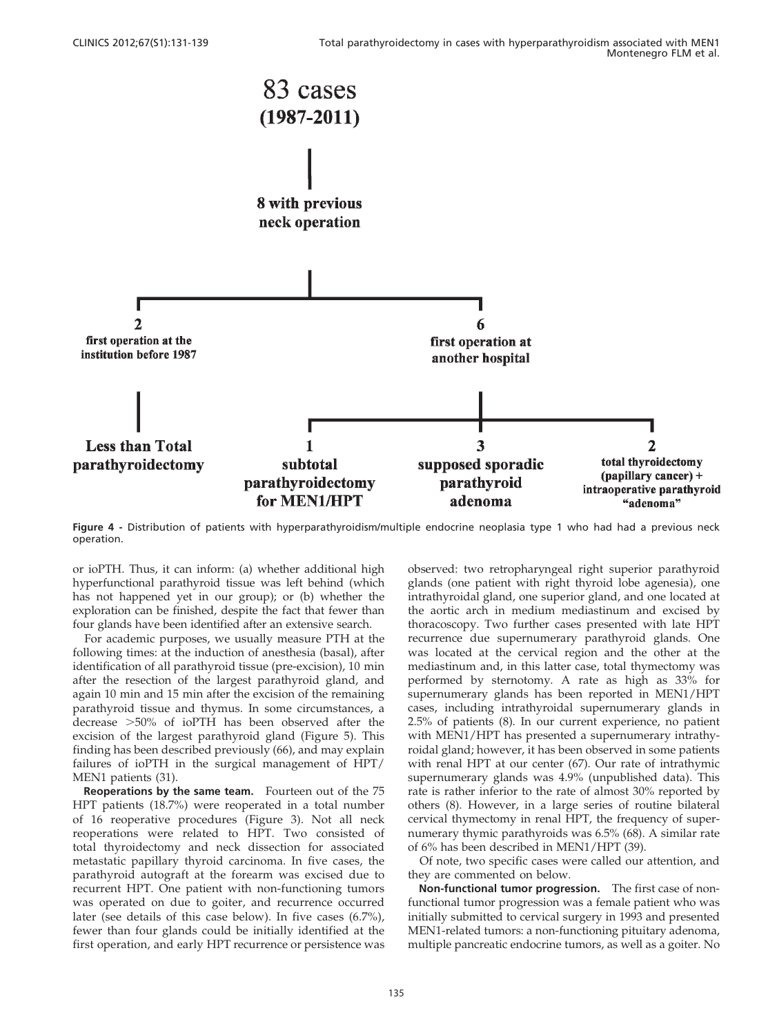<span id="page-4-0"></span>

Figure 4 - Distribution of patients with hyperparathyroidism/multiple endo[crine neoplasia type 1 who had had a previous neck](#page-3-0) operation.

or ioPTH. Thus, it can inform: (a) whether additional high hyperfunctional parathyroid tissue was left behind (which has not happened yet in our group); or (b) whether the exploration can be finished, despite the fact that fewer than four glands have been identified after an extensive search.

For academic purposes, we usually measure PTH at the following times: at the induction of anesthesia (basal), after identification of all parathyroid tissue (pre-excision), 10 min after the resection of the largest parathyroid gland, and again 10 min and 15 min after the excision of the re[maining](#page-5-0) parathy[roid tissue and thymus. In some circumstances, a](#page-8-0) decrease >[50% of ioPTH has been observed after the](#page-8-0) excision [of](#page-7-0) [the](#page-7-0) [largest](#page-7-0) [parat](#page-7-0)hyroid gland (Figure 5). This finding has been described previously (66), and may explain failures of ioPTH in the surgical mana[gement of HPT/](#page-3-0) MEN1 patients (31).

Reope[rations by the same team.](#page-3-0) Fourteen out of the 75 HPT pa[tients \(18.7%\) were reoperated in a total number](#page-3-0) of 16 r[eoperative procedures \(Figure 3\). Not all neck](#page-3-0) reoperat[ions were related to HPT. Two consisted of](#page-3-0) total th[yroidectomy](#page-3-0) [and](#page-3-0) [neck](#page-3-0) [dissection](#page-3-0) [for](#page-3-0) [associated](#page-3-0) metastat[ic papillary thyroid carcinoma. In five cases, the](#page-3-0) parathy[roid autograft at the forearm was excised due to](#page-3-0) recurren[t](#page-3-0) [HPT.](#page-3-0) [One](#page-3-0) [patient](#page-3-0) [with](#page-3-0) [non-functioning](#page-3-0) [tumors](#page-3-0) was op[erated on due to goiter, and recurrence occurred](#page-3-0) later (see details of this case below). In five cases (6.7%), fewer than four glands could be initially identified at the first operation, and early HPT recurrence or persistence was

observe[d: two retropharyngeal right superior parathyroid](#page-3-0) glands ([one patient with right thyroid lobe agenesia\), one](#page-3-0) intrathy[roidal gland, one superior gland, and one located at](#page-3-0) the aort[ic arch in medium mediastinum and excised by](#page-3-0) thoracos[copy. Two further cases presented with late HPT](#page-3-0) recurren[ce due supernumerary parathyroid glands. One](#page-3-0) was loc[ated at the cervical region and the other at the](#page-3-0) mediasti[num and, in this latter case, total thymectomy was](#page-3-0) perform[ed](#page-6-0) [by](#page-6-0) [sternotomy.](#page-6-0) [A](#page-6-0) [rate](#page-6-0) [as](#page-6-0) [high](#page-6-0) [as](#page-6-0) [33%](#page-6-0) [for](#page-6-0) supernu[merary glands has been reported in MEN1/HPT](#page-6-0) cases, i[ncluding intrathyroidal supernumerary glands in](#page-6-0) 2.5% of [patients](#page-8-0) [\(8\).](#page-8-0) [In](#page-8-0) [our](#page-8-0) [current](#page-8-0) [experience,](#page-8-0) [no](#page-8-0) [patient](#page-8-0) with M[EN1/HPT has presented a supernumerary intrathy](#page-8-0)roidal gl[and; however, it has been observed in some patients](#page-8-0) with re[nal](#page-6-0) [HPT](#page-6-0) [at](#page-6-0) [our](#page-6-0) [center](#page-6-0) [\(67\).](#page-6-0) [Our](#page-6-0) [rate](#page-6-0) [of](#page-6-0) [intrathymic](#page-6-0) supernu[merary glands was 4.9% \(unpublished data\). This](#page-6-0) rate is r[ather inferior to the rate of almost 30% reported by](#page-8-0) others ([8\).](#page-7-0) [However,](#page-7-0) [in](#page-7-0) [a](#page-7-0) [large](#page-7-0) [series](#page-7-0) [of](#page-7-0) [routine](#page-7-0) [bila](#page-7-0)teral cervical thymectomy in renal HPT, the frequency of supernumerary thymic parathyroids was 6.5% (68). A similar rate of 6% has been described in MEN1/HPT (39).

Of note, two specific cases were called our attention, and they are commented on below.

Non-functional tumor progression. The first case of nonfunctional tumor progression was a female patient who was initially submitted to cervical surgery in 1993 and presented MEN1-related tumors: a non-functioning pituitary adenoma, multiple pancreatic endocrine tumors, as well as a goiter. No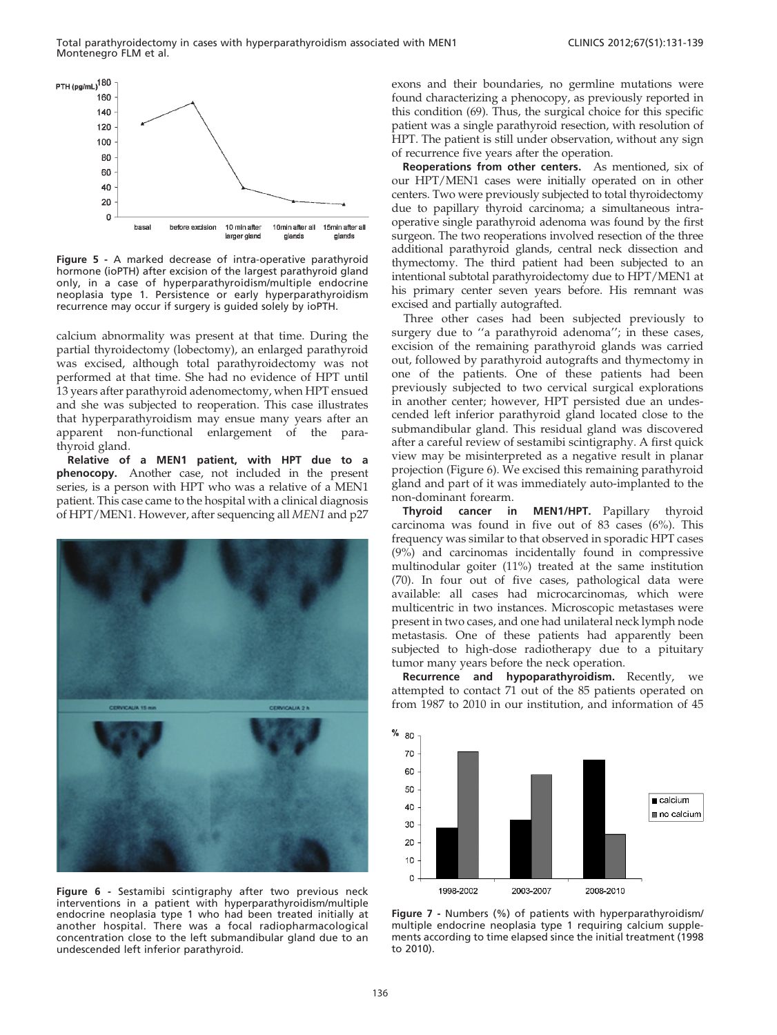<span id="page-5-0"></span>

Figure 5 - A marked decrease of intra-operative parathyroid hormone (ioPTH) after excision of the largest parathyroid gland only, in a case of hyperparathyroidism/multiple endocrine neoplasia type 1. Persistence or early hyperparathyroidism recurrence may occur if surgery is guided solely by ioPTH.

calcium abnormality was present at that time. During the partial thyroidectomy (lobectomy), an enlarged parathyroid was excised, although total parathyroidectomy was not performed at that time. She had no evidence of HPT until 13 years after parathyroid adenomectomy, when HPT ensued and she was subjected to reoperation. This case illustrates that hyperparathyroidism may ensue many years after an apparent non-functional enlargement of the parathyroid gland.

Relative of a MEN1 patient, with HPT due to a phenocopy. Another case, not included in the present series, is a person with HPT who was a relative of a MEN1 patient. This case came to the hospital with a clinical diagnosis of HPT/MEN1. However, after sequencing all MEN1 and p27



Figure 6 - Sestamibi scintigraphy after two previous neck interventions in a patient with hyperparathyroidism/multiple endocrine neoplasia type 1 who had been treated initially at another hospital. There was a focal radiopharmacological concentration close to the left submandibular gland due to an undescended left inferior parathyroid.

exons a[nd](#page-8-0) [their](#page-8-0) [boundaries,](#page-8-0) [no](#page-8-0) [germline](#page-8-0) [mutations](#page-8-0) [were](#page-8-0) found c[haracterizing a phenocopy, as previously reported in](#page-8-0) this con[dition](#page-8-0) [\(69\).](#page-8-0) [Thus,](#page-8-0) [the](#page-8-0) [surgical](#page-8-0) [choice](#page-8-0) [for](#page-8-0) [this](#page-8-0) specific patient was a single parathyroid resection, with resolution of HPT. The patient is still under observation, without any sign of recurrence five years after the operation.

Reoperations from other centers. As mentioned, six of our HPT/MEN1 cases were initially operated on in other centers. Two were previously subjected to total thyroidectomy due to papillary thyroid carcinoma; a simultaneous intraoperative single parathyroid adenoma was found by the first surgeon. The two reoperations involved resection of the three additional parathyroid glands, central neck dissection and thymectomy. The third patient had been subjected to an intentional subtotal parathyroidectomy due to HPT/MEN1 at his primary center seven years before. His remnant was excised and partially autografted.

Three other cases had been subjected previously to surgery due to "a parathyroid adenoma"; in these cases, excision of the remaining parathyroid glands was carried out, followed by parathyroid autografts and thymectomy in one of the patients. One of these patients had been previously subjected to two cervical surgical explorations in another center; however, HPT persisted due an undescended left inferior parathyroid gland located close to the submandibular gland. This residual gland was discovered after a careful review of sestamibi scintigraphy. A first quick view may be misinterpreted as a negative result in planar projection (Figure 6). We excised this remaining parathyroid gland and part of it was immediately auto-implanted to the non-dominant forearm.

Thyroid cancer in MEN1/HPT. Papillary thyroid carcinoma was found in five out of 83 cases (6%). This frequenc[y was similar to that observed in sporadic HPT cases](#page-8-0) (9%) an[d](#page-8-0) [carcinomas](#page-8-0) [incidentally](#page-8-0) [found](#page-8-0) [in](#page-8-0) [compressive](#page-8-0) multino[dular goiter \(11%\) treated at the same institution](#page-8-0) (70). In [four](#page-8-0) [out](#page-8-0) [of](#page-8-0) [five](#page-8-0) [cases,](#page-8-0) [pathological](#page-8-0) [data](#page-8-0) [were](#page-8-0) availabl[e:](#page-8-0) [all](#page-8-0) [cases](#page-8-0) [had](#page-8-0) [microcarcinomas,](#page-8-0) [which](#page-8-0) [were](#page-8-0) multice[ntric in two instances. Microscopic metastases were](#page-8-0) present i[n](#page-8-0) [two](#page-8-0) [cases,](#page-8-0) [and](#page-8-0) [one](#page-8-0) [had](#page-8-0) [unilateral](#page-8-0) [neck](#page-8-0) [lymph](#page-8-0) node metastasis. One of these patients had apparently been subjected to high-dose radiotherapy due to a pituitary tumor many years before the neck operation.

Recurrence and hypoparathyroidism. Recently, we attempted to contact 71 out of the 85 patients operated on from 1987 to 2010 in our institution, and information of 45



Figure 7 - Numbers (%) of patients with hyperparathyroidism/ multiple endocrine neoplasia type 1 requiring calcium supplements according to time elapsed since the initial treatment (1998 to 2010).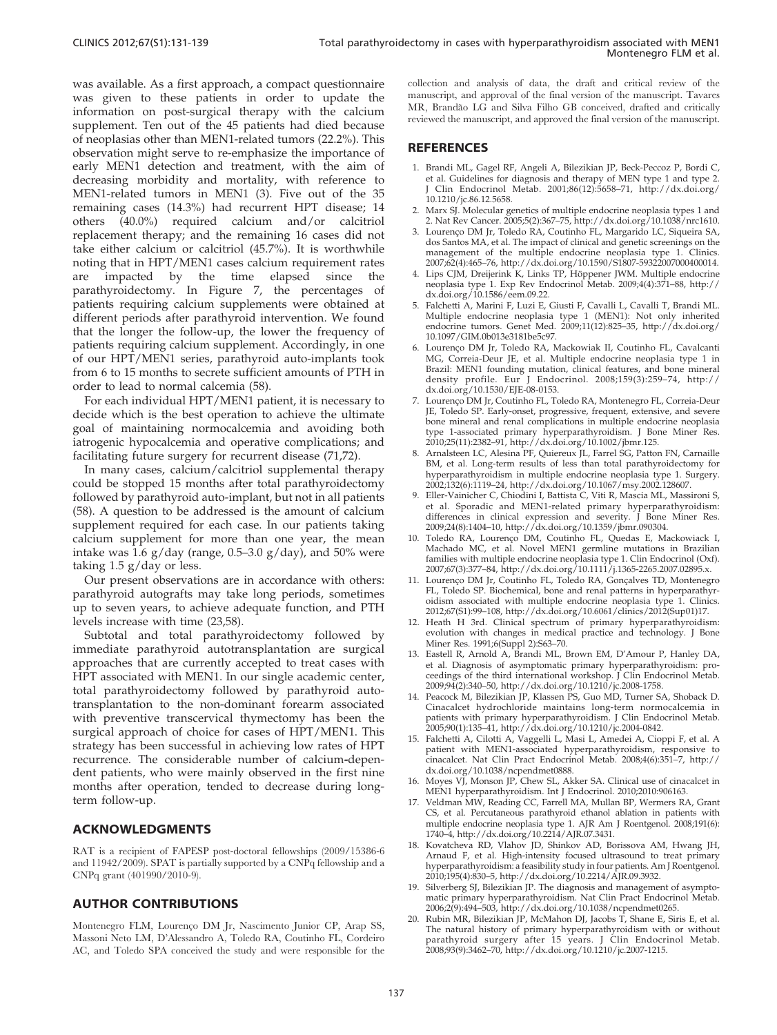<span id="page-6-0"></span>was available. As a first approach, a compact questionnaire was given to these patients in order to update the information on post-surgical therapy with the calcium supplement. Ten out of the 45 patients had died because of neoplasias other than MEN1-related tumors (22.2%). This observation might serve to re-emphasize the importance of early MEN1 detection and treatment, with the aim of decreasing morbidity and mortality, with reference to MEN1-related tumors in MEN1 (3). Five out of the 35 remaining cases (14.3%) had recurrent HPT disease; 14 others (40.0%) required calcium and/or calcitriol replacement therapy; and the remaining 16 cases did not take eit[her](#page-5-0) [calcium](#page-5-0) [or](#page-5-0) [calcitriol](#page-5-0) [\(45.7%\).](#page-5-0) [It](#page-5-0) [is](#page-5-0) [worthwhile](#page-5-0) noting t[hat](#page-5-0) [in](#page-5-0) [HPT/MEN1](#page-5-0) [cases](#page-5-0) [calcium](#page-5-0) [requirement](#page-5-0) [rates](#page-5-0) are i[mpacted by the time elapsed since the](#page-5-0) parathy[roidectomy.](#page-5-0) [In](#page-5-0) [Figure](#page-5-0) [7,](#page-5-0) [the](#page-5-0) [percentages](#page-5-0) [of](#page-5-0) patients [requiring calcium supplements were obtained at](#page-5-0) differen[t](#page-5-0) [periods](#page-5-0) [after](#page-5-0) [parathyroid](#page-5-0) [intervention.](#page-5-0) [We](#page-5-0) [found](#page-5-0) that the [longer the follow-up, the lower the frequency of](#page-5-0) patients [requiring](#page-7-0) [calcium](#page-7-0) [supplement.](#page-7-0) [Accord](#page-7-0)ingly, in one of our HPT/MEN1 series, parathyroid auto-implants took from 6 to 15 months to secrete sufficient amounts of PTH in order to lead to normal calcemia (58).

For each individual HPT/MEN1 patient, it is necessary to decide which is the best operation to achieve the ultimate goal of maintaining normocalcemia and avoiding both iatrogenic hypocalcemia and operative complications; and facilitating future surgery for recurrent disease (71,72).

In ma[ny cases, calcium/calcitriol supplemental therapy](#page-7-0) could b[e](#page-7-0) [stopped](#page-7-0) [15](#page-7-0) [months](#page-7-0) [after](#page-7-0) [total](#page-7-0) [parathyroidectomy](#page-7-0) followe[d by parathyroid auto-implant, but not in all patients](#page-7-0) (58). A [question](#page-7-0) [to](#page-7-0) [be](#page-7-0) [addressed](#page-7-0) [is](#page-7-0) [the](#page-7-0) [amount](#page-7-0) [of](#page-7-0) [calcium](#page-7-0) supple[ment required for each ca](#page-7-0)se. In our patients taking calcium supplement for more than one year, the mean intake was 1.6  $g/day$  (range, 0.5–3.0  $g/day$ ), and 50% were taking 1.5 g/day or less.

Our present observations are in [accord](#page-7-0)ance with others: parathyroid autografts may take long periods, sometimes up to seven years, to achieve adequate function, and PTH levels increase with time (23,58).

Subtotal and total parathyroidectomy followed by immediate parathyroid autotransplantation are surgical approaches that are currently accepted to treat cases with HPT associated with MEN1. In our single academic center, total parathyroidectomy followed by parathyroid autotransplantation to the non-dominant forearm associated with preventive transcervical thymectomy has been the surgical approach of choice for cases of HPT/MEN1. This strategy has been successful in achieving low rates of HPT recurrence. The considerable number of calcium-dependent patients, who were mainly observed in the first nine months after operation, tended to decrease during longterm follow-up.

#### ACKNOWLEDGMENTS

RAT is a recipient of FAPESP post-doctoral fellowships (2009/15386-6 and 11942/2009). SPAT is partially supported by a CNPq fellowship and a CNPq grant (401990/2010-9).

#### AUTHOR CONTRIBUTIONS

Montenegro FLM, Lourenço DM Jr, Nascimento Junior CP, Arap SS, Massoni Neto LM, D'Alessandro A, Toledo RA, Coutinho FL, Cordeiro AC, and Toledo SPA conceived the study and were responsible for the collection and analysis of data, the draft and critical review of the manuscript, and approval of the final version of the manuscript. Tavares MR, Brandão LG and Silva Filho GB conceived, drafted and critically reviewed the [manuscript, and approved the final version of the manuscript.](http://dx.doi.org/10.1210%2Fjc.86.12.5658)

#### **REFEREN[CES](http://dx.doi.org/10.1210%2Fjc.86.12.5658)**

- 1. Brandi ML[, Gagel RF, Angeli A, Bilezikian JP, Beck-Peccoz P, Bordi C,](http://dx.doi.org/10.1038%2Fnrc1610) et al. Guid[elines for diagnosis and therapy of MEN type 1 and type 2.](http://dx.doi.org/10.1038%2Fnrc1610) J Clin En[docrinol Metab. 2001;86\(12\):5658–71, http://dx.doi.org/](http://dx.doi.org/10.1590%2FS1807-59322007000400014) 10.1210/jc.86.12.5658.
- 2. Marx SJ. [Molecular](http://dx.doi.org/10.1590%2FS1807-59322007000400014) [genetics](http://dx.doi.org/10.1590%2FS1807-59322007000400014) [of](http://dx.doi.org/10.1590%2FS1807-59322007000400014) [multiple](http://dx.doi.org/10.1590%2FS1807-59322007000400014) [endocrine](http://dx.doi.org/10.1590%2FS1807-59322007000400014) [neoplasia](http://dx.doi.org/10.1590%2FS1807-59322007000400014) [types](http://dx.doi.org/10.1590%2FS1807-59322007000400014) [1](http://dx.doi.org/10.1590%2FS1807-59322007000400014) [and](http://dx.doi.org/10.1590%2FS1807-59322007000400014) 2. Nat Rev [Cancer.](http://dx.doi.org/10.1590%2FS1807-59322007000400014) [2005;5\(2\):367–75,](http://dx.doi.org/10.1590%2FS1807-59322007000400014) [http://dx.doi.org/10.1038/nrc1610.](http://dx.doi.org/10.1590%2FS1807-59322007000400014)
- 3. Lourenço [DM Jr, Toledo RA, Coutinho FL, Margarido LC, Siqueira SA,](http://dx.doi.org/10.1586%2Feem.09.22) dos Santos [MA, et al. The impact of clinical and genetic screenings on the](http://dx.doi.org/10.1586%2Feem.09.22) manageme[nt of the multiple endocrin](http://dx.doi.org/10.1586%2Feem.09.22)e neoplasia type 1. Clinics. 2007;62(4):[465–76, http://dx.doi.org/10.1590/S1807-59322007000400014.](http://dx.doi.org/10.1097%2FGIM.0b013e3181be5c97)
- 4. Lips CJM, [Dreijerink](http://dx.doi.org/10.1097%2FGIM.0b013e3181be5c97) [K,](http://dx.doi.org/10.1097%2FGIM.0b013e3181be5c97) [Links](http://dx.doi.org/10.1097%2FGIM.0b013e3181be5c97) [TP,](http://dx.doi.org/10.1097%2FGIM.0b013e3181be5c97) Höppener [JWM.](http://dx.doi.org/10.1097%2FGIM.0b013e3181be5c97) [Multiple](http://dx.doi.org/10.1097%2FGIM.0b013e3181be5c97) [endocrine](http://dx.doi.org/10.1097%2FGIM.0b013e3181be5c97) neoplasia [type](http://dx.doi.org/10.1097%2FGIM.0b013e3181be5c97) [1.](http://dx.doi.org/10.1097%2FGIM.0b013e3181be5c97) [Exp](http://dx.doi.org/10.1097%2FGIM.0b013e3181be5c97) [Rev](http://dx.doi.org/10.1097%2FGIM.0b013e3181be5c97) [Endocrinol](http://dx.doi.org/10.1097%2FGIM.0b013e3181be5c97) [Metab.](http://dx.doi.org/10.1097%2FGIM.0b013e3181be5c97) [2009;4\(4\):371–88,](http://dx.doi.org/10.1097%2FGIM.0b013e3181be5c97) [http://](http://dx.doi.org/10.1097%2FGIM.0b013e3181be5c97) dx.doi.org[/10.1586/eem.09.22.](http://dx.doi.org/10.1097%2FGIM.0b013e3181be5c97)
- 5. Falchetti A[, Marini F, Luzi E, Giusti F, Cavalli L, Cavalli T, Brandi ML.](http://dx.doi.org/10.1530%2FEJE-08-0153) Multiple [endocrine neoplasia type 1 \(MEN1\): Not only inherited](http://dx.doi.org/10.1530%2FEJE-08-0153) endocrine [tumors. Genet Med. 2009;11\(12\):825–35, http://dx.doi.org/](http://dx.doi.org/10.1530%2FEJE-08-0153) 10.1097/G[IM.0b013e3181be5c97.](http://dx.doi.org/10.1530%2FEJE-08-0153)
- 6. Lourenço [DM Jr, Toledo RA, Mackowiak I](http://dx.doi.org/10.1530%2FEJE-08-0153)I, Coutinho FL, Cavalcanti MG, Corr[eia-Deur JE, et al. Multiple endocrine neoplasia type 1 in](http://dx.doi.org/10.1002%2Fjbmr.125) Brazil: ME[N1 founding mutation, clinical features, and bone mineral](http://dx.doi.org/10.1002%2Fjbmr.125) density [profile. Eur J Endocrinol. 2008;159\(3\):259–74, http://](http://dx.doi.org/10.1002%2Fjbmr.125) dx.doi.org[/10.1530/EJE-08-0153.](http://dx.doi.org/10.1002%2Fjbmr.125)
- 7. Lourenço [DM](http://dx.doi.org/10.1002%2Fjbmr.125) [Jr,](http://dx.doi.org/10.1002%2Fjbmr.125) [Coutinho](http://dx.doi.org/10.1002%2Fjbmr.125) [FL,](http://dx.doi.org/10.1002%2Fjbmr.125) [Toledo](http://dx.doi.org/10.1002%2Fjbmr.125) [RA,](http://dx.doi.org/10.1002%2Fjbmr.125) [Montenegro](http://dx.doi.org/10.1002%2Fjbmr.125) FL, [Correia-D](http://dx.doi.org/10.1002%2Fjbmr.125)eur JE, Toledo [SP. Early-onset, progressive, frequent, extensive, and severe](http://dx.doi.org/10.1067%2Fmsy.2002.128607) bone mine[ral and renal complications in multiple endocrine neoplasia](http://dx.doi.org/10.1067%2Fmsy.2002.128607) type 1-ass[ociated primary hyperparathyroidism. J Bone Miner Res.](http://dx.doi.org/10.1067%2Fmsy.2002.128607) 2010;25(11)[:2382–91, http://dx.doi.org/10.1002/jbmr.125.](http://dx.doi.org/10.1067%2Fmsy.2002.128607)
- 8. Arnalsteen [LC, Alesina PF, Quiereux JL, Farrel SG, Patton FN, Carnaille](http://dx.doi.org/10.1359%2Fjbmr.090304) BM, et al. [Long-term results of less than total parathyroidectomy for](http://dx.doi.org/10.1359%2Fjbmr.090304) hyperparat[hyroidism in multiple endocrine neoplasia type 1. Surgery.](http://dx.doi.org/10.1359%2Fjbmr.090304) 2002;132(6)[:1119–24, http://dx.doi.org/10.1067/msy.2002.128607.](http://dx.doi.org/10.1359%2Fjbmr.090304)
- 9. Eller-Vaini[cher](http://dx.doi.org/10.1111%2Fj.1365-2265.2007.02895.x) [C,](http://dx.doi.org/10.1111%2Fj.1365-2265.2007.02895.x) [Chiodini](http://dx.doi.org/10.1111%2Fj.1365-2265.2007.02895.x) [I,](http://dx.doi.org/10.1111%2Fj.1365-2265.2007.02895.x) [Battista](http://dx.doi.org/10.1111%2Fj.1365-2265.2007.02895.x) [C,](http://dx.doi.org/10.1111%2Fj.1365-2265.2007.02895.x) [Viti](http://dx.doi.org/10.1111%2Fj.1365-2265.2007.02895.x) [R,](http://dx.doi.org/10.1111%2Fj.1365-2265.2007.02895.x) [Mascia](http://dx.doi.org/10.1111%2Fj.1365-2265.2007.02895.x) [ML,](http://dx.doi.org/10.1111%2Fj.1365-2265.2007.02895.x) [Massironi](http://dx.doi.org/10.1111%2Fj.1365-2265.2007.02895.x) [S,](http://dx.doi.org/10.1111%2Fj.1365-2265.2007.02895.x) et al. Sp[oradic](http://dx.doi.org/10.1111%2Fj.1365-2265.2007.02895.x) [and](http://dx.doi.org/10.1111%2Fj.1365-2265.2007.02895.x) [MEN1-related](http://dx.doi.org/10.1111%2Fj.1365-2265.2007.02895.x) [primary](http://dx.doi.org/10.1111%2Fj.1365-2265.2007.02895.x) [hyperparathyroidism:](http://dx.doi.org/10.1111%2Fj.1365-2265.2007.02895.x) differences [in](http://dx.doi.org/10.1111%2Fj.1365-2265.2007.02895.x) [clinical](http://dx.doi.org/10.1111%2Fj.1365-2265.2007.02895.x) [expression](http://dx.doi.org/10.1111%2Fj.1365-2265.2007.02895.x) [and](http://dx.doi.org/10.1111%2Fj.1365-2265.2007.02895.x) [severity.](http://dx.doi.org/10.1111%2Fj.1365-2265.2007.02895.x) [J](http://dx.doi.org/10.1111%2Fj.1365-2265.2007.02895.x) [Bone](http://dx.doi.org/10.1111%2Fj.1365-2265.2007.02895.x) [Miner](http://dx.doi.org/10.1111%2Fj.1365-2265.2007.02895.x) [Res.](http://dx.doi.org/10.1111%2Fj.1365-2265.2007.02895.x) 2009;24(8):[1404–10,](http://dx.doi.org/10.1111%2Fj.1365-2265.2007.02895.x) [http://dx.doi.org/10.1359/jbmr.090304.](http://dx.doi.org/10.1111%2Fj.1365-2265.2007.02895.x)
- 10. Toledo RA, Lourenço DM, Coutinho FL, Quedas E, Mackowiack I, Machado MC, et al. Novel MEN1 germline mutations in Brazilian families with multiple endocrine neoplasia type 1. Clin Endocrinol (Oxf). 2007;67(3):377–84, http://dx.doi.org/10.1111/j.1365-2265.2007.02895.x.
- 11. Lourenço DM Jr, Coutinho FL, Toledo RA, Gonçalves TD, Montenegro FL, Toledo SP. Biochemical, bone and renal patterns in hyperparathyroidism associated with multiple endocrine neoplasia type 1. Clinics. 2012;67(S1)[:99–108, http://dx.doi.org/10.6061/clinics/2012\(Sup01\)17.](http://dx.doi.org/10.1210%2Fjc.2008-1758)
- 12. Heath H [3rd. Clinical spectrum of primary hyperparathyroidism:](http://dx.doi.org/10.1210%2Fjc.2008-1758) evolution [with changes in medical practice and technology. J Bone](http://dx.doi.org/10.1210%2Fjc.2008-1758) Miner Res. [1991;6\(Suppl 2\):S63–70.](http://dx.doi.org/10.1210%2Fjc.2008-1758)
- 13. Eastell R, [Arnold A, Brandi ML, Brown EM, D'Amour P, Hanley DA,](http://dx.doi.org/10.1210%2Fjc.2004-0842) et al. Dia[gnosis of asymptomatic primary hyperparathyroidism: pro-](http://dx.doi.org/10.1210%2Fjc.2004-0842)ceedings o[f the third international workshop. J Clin Endocrinol Metab.](http://dx.doi.org/10.1210%2Fjc.2004-0842) 2009;94(2):[340–50, http://dx.doi.org/10.1210/jc.2008-1758.](http://dx.doi.org/10.1210%2Fjc.2004-0842)
- 14. Peacock M[, Bilezikian JP, Klassen PS, Guo MD, Turner SA, Shoback D.](http://dx.doi.org/10.1038%2Fncpendmet0888) Cinacalcet [hydrochloride maintains long-term normocalcemia in](http://dx.doi.org/10.1038%2Fncpendmet0888) patients w[ith primary hyperparathyroidism. J Clin Endocrinol Metab.](http://dx.doi.org/10.1038%2Fncpendmet0888) 2005;90(1):[135–41, http://dx.doi.org/10.1210/jc.](http://dx.doi.org/10.1038%2Fncpendmet0888)2004-0842.
- 15. Falchetti A, Cilotti A, Vaggelli L, Masi L, Amedei A, Cioppi F, et al. A patient with MEN1-associated hyperparathyroidism, responsive to cinacalcet. [Nat Clin Pract Endocrinol Metab. 2008;4\(6\):351–7, http://](http://dx.doi.org/10.2214%2FAJR.07.3431) dx.doi.org[/10.1038/ncpendmet0888.](http://dx.doi.org/10.2214%2FAJR.07.3431)
- Moyes VJ, [Monson](http://dx.doi.org/10.2214%2FAJR.07.3431) [JP,](http://dx.doi.org/10.2214%2FAJR.07.3431) [Chew](http://dx.doi.org/10.2214%2FAJR.07.3431) [SL,](http://dx.doi.org/10.2214%2FAJR.07.3431) [Akker](http://dx.doi.org/10.2214%2FAJR.07.3431) [SA.](http://dx.doi.org/10.2214%2FAJR.07.3431) [Clinical](http://dx.doi.org/10.2214%2FAJR.07.3431) [use](http://dx.doi.org/10.2214%2FAJR.07.3431) [of](http://dx.doi.org/10.2214%2FAJR.07.3431) [cinacalcet](http://dx.doi.org/10.2214%2FAJR.07.3431) [in](http://dx.doi.org/10.2214%2FAJR.07.3431) MEN1 hy[perparathyroidism.](http://dx.doi.org/10.2214%2FAJR.07.3431) [Int](http://dx.doi.org/10.2214%2FAJR.07.3431) [J](http://dx.doi.org/10.2214%2FAJR.07.3431) [Endocrinol.](http://dx.doi.org/10.2214%2FAJR.07.3431) [2010;2010:9](http://dx.doi.org/10.2214%2FAJR.07.3431)06163.
- 17. Veldman [MW, Reading CC, Farrell MA, Mullan BP, Wermers RA, Grant](http://dx.doi.org/10.2214%2FAJR.09.3932) CS, et al. [Percutaneous parathyroid ethanol ablation in patients with](http://dx.doi.org/10.2214%2FAJR.09.3932) multiple e[ndocrine neoplasia type 1. AJR Am J Roentgenol. 2008;191\(6\):](http://dx.doi.org/10.2214%2FAJR.09.3932) 1740–4, htt[p://dx.doi.org/10.2214/AJR.07.3431.](http://dx.doi.org/10.2214%2FAJR.09.3932)
- 18. Kovatchev[a RD, Vlahov JD, Shinkov AD, Borissova AM, Hwang JH,](http://dx.doi.org/10.1038%2Fncpendmet0265) Arnaud F, [et al. High-intensity focused ultrasound to treat primary](http://dx.doi.org/10.1038%2Fncpendmet0265) hyperparat[hyroidism: a feasibility study in four patients. Am J Roentgenol.](http://dx.doi.org/10.1038%2Fncpendmet0265) 2010;195(4)[:830–5, http://dx.doi.org/10.2214/AJR.09.3932.](http://dx.doi.org/10.1210%2Fjc.2007-1215)
- 19. Silverberg [SJ, Bilezikian JP. The diagnosis and management of asympto](http://dx.doi.org/10.1210%2Fjc.2007-1215)matic pri[mary hyperparathyroidism. Nat Clin Pract Endocrinol Metab.](http://dx.doi.org/10.1210%2Fjc.2007-1215) 2006;2(9):4[94–503, http://dx.doi.org/10.1038/ncpendmet0265.](http://dx.doi.org/10.1210%2Fjc.2007-1215)
- Rubin MR, Bilezikian JP, McMahon DJ, Jacobs T, Shane E, Siris E, et al. The natural history of primary hyperparathyroidism with or without parathyroid surgery after 15 years. J Clin Endocrinol Metab. 2008;93(9):3462–70, http://dx.doi.org/10.1210/jc.2007-1215.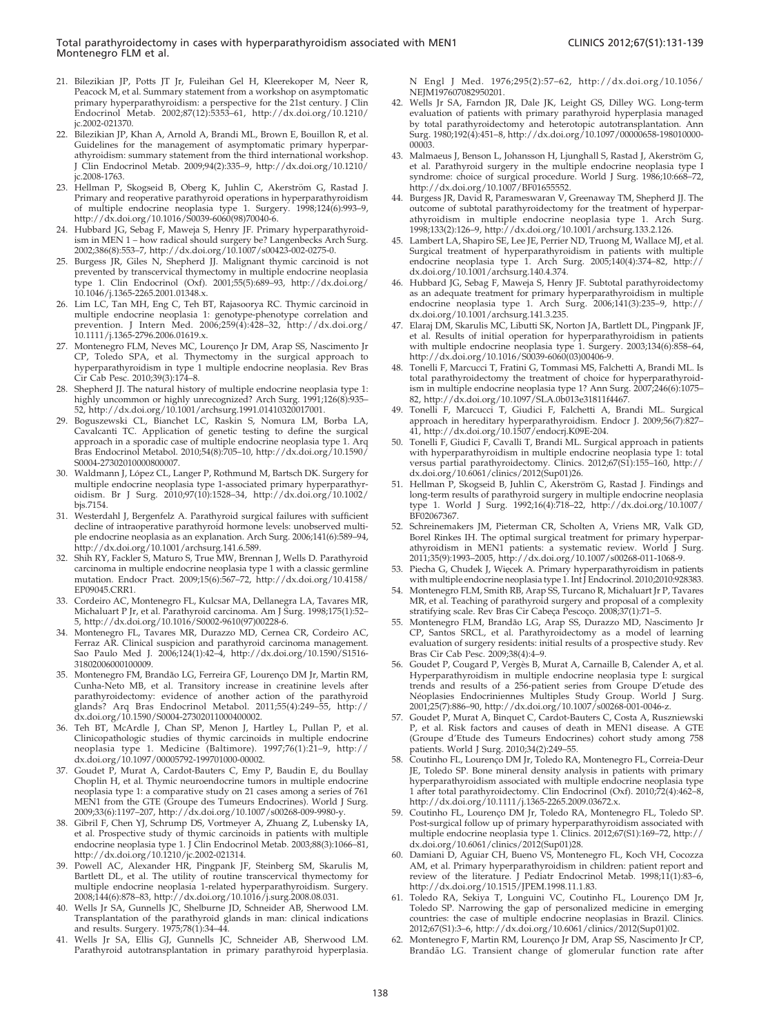- <span id="page-7-0"></span>21. Bilezikian [JP, Potts JT Jr](http://dx.doi.org/10.1210%2Fjc.2002-021370), Fuleihan Gel H, Kleerekoper M, Neer R, Peacock M[, et al. Summary statement from a workshop on asymptomatic](http://dx.doi.org/10.1210%2Fjc.2008-1763) primary h[yperparathyroidism: a perspective for the 21st century. J Clin](http://dx.doi.org/10.1210%2Fjc.2008-1763) Endocrino[l Metab. 2002;87\(12\):5353–61, http://dx.doi.org/10.1210/](http://dx.doi.org/10.1210%2Fjc.2008-1763) jc.2002-021370.
- 22. Bilezikian [JP,](http://dx.doi.org/10.1210%2Fjc.2008-1763) [Khan](http://dx.doi.org/10.1210%2Fjc.2008-1763) [A,](http://dx.doi.org/10.1210%2Fjc.2008-1763) [A](http://dx.doi.org/10.1210%2Fjc.2008-1763)rnold A, Brandi ML, Brown E, Bouillon R, et al. Guidelines [for](http://dx.doi.org/10.1016%2FS0039-6060%2898%2970040-6) [the](http://dx.doi.org/10.1016%2FS0039-6060%2898%2970040-6) [management](http://dx.doi.org/10.1016%2FS0039-6060%2898%2970040-6) [of](http://dx.doi.org/10.1016%2FS0039-6060%2898%2970040-6) [asymptomatic](http://dx.doi.org/10.1016%2FS0039-6060%2898%2970040-6) [primary](http://dx.doi.org/10.1016%2FS0039-6060%2898%2970040-6) [hyperpar](http://dx.doi.org/10.1016%2FS0039-6060%2898%2970040-6)athyroidis[m: summary statement from the third international workshop.](http://dx.doi.org/10.1016%2FS0039-6060%2898%2970040-6) J Clin End[ocrinol Metab. 2009;94\(2\):335–9, http://dx.doi.org/10.1210/](http://dx.doi.org/10.1016%2FS0039-6060%2898%2970040-6) jc.2008-1763.
- 23. Hellman P, Skogseid B, Oberg K, Juhlin C, Akerström G, Rastad J. Primary an[d reoperative parathyroid operations in hyperparathyroidism](http://dx.doi.org/10.1007%2Fs00423-002-0275-0) of multipl[e endocrine neoplasia type 1. Surgery. 1998;124\(6\):993–9,](http://dx.doi.org/10.1007%2Fs00423-002-0275-0) http://dx.[doi.org/10.1016/S0039-6060\(98\)70040-6.](http://dx.doi.org/10.1046%2Fj.1365-2265.2001.01348.x)
- 24. Hubbard J[G,](http://dx.doi.org/10.1046%2Fj.1365-2265.2001.01348.x) [Sebag](http://dx.doi.org/10.1046%2Fj.1365-2265.2001.01348.x) [F,](http://dx.doi.org/10.1046%2Fj.1365-2265.2001.01348.x) [Maweja](http://dx.doi.org/10.1046%2Fj.1365-2265.2001.01348.x) [S,](http://dx.doi.org/10.1046%2Fj.1365-2265.2001.01348.x) [Henry](http://dx.doi.org/10.1046%2Fj.1365-2265.2001.01348.x) [JF.](http://dx.doi.org/10.1046%2Fj.1365-2265.2001.01348.x) [Primary](http://dx.doi.org/10.1046%2Fj.1365-2265.2001.01348.x) [hyperparathyroid](http://dx.doi.org/10.1046%2Fj.1365-2265.2001.01348.x)ism in ME[N 1 – how radical should surgery be? Langenbecks Arch Surg.](http://dx.doi.org/10.1046%2Fj.1365-2265.2001.01348.x) 2002;386(8)[:553–7, http://dx.doi.org/10.1007](http://dx.doi.org/10.1046%2Fj.1365-2265.2001.01348.x)/s00423-002-0275-0.
- 25. Burgess J[R, Giles N, Shepherd JJ. Malignant thymic carcinoid is not](http://dx.doi.org/10.1111%2Fj.1365-2796.2006.01619.x) prevented [by transcervical thymectomy in multiple endocrine neoplasia](http://dx.doi.org/10.1111%2Fj.1365-2796.2006.01619.x) type 1. Cl[in Endocrinol \(Oxf\). 2001;55\(5\):689–93, http://dx.doi.org/](http://dx.doi.org/10.1111%2Fj.1365-2796.2006.01619.x) 10.1046/j.1[365-2265.2001.01348.x.](http://dx.doi.org/10.1111%2Fj.1365-2796.2006.01619.x)
- 26. Lim LC, Tan MH, Eng C, Teh BT, Rajasoorya RC. Thymic carcinoid in multiple endocrine neoplasia 1: genotype-phenotype correlation and prevention. J Intern Med. 2006;259(4):428–32, http://dx.doi.org/ 10.1111/j.1365-2796.2006.01619.x.
- 27. Montenegro FLM, Neves MC, Lourenço Jr DM, Arap SS, Nascimento Jr CP, Toled[o SPA, et al. Thymectomy in the surgical approach to](http://dx.doi.org/10.1001%2Farchsurg.1991.01410320017001) hyperparat[hyroidism in type 1 multiple endocrine neoplasia. Rev Bras](http://dx.doi.org/10.1001%2Farchsurg.1991.01410320017001) Cir Cab Pe[sc. 2010;39\(3\):174–8.](http://dx.doi.org/10.1590%2FS0004-27302010000800007)
- 28. Shepherd J[J.](http://dx.doi.org/10.1590%2FS0004-27302010000800007) [The](http://dx.doi.org/10.1590%2FS0004-27302010000800007) [natural](http://dx.doi.org/10.1590%2FS0004-27302010000800007) [history](http://dx.doi.org/10.1590%2FS0004-27302010000800007) [of](http://dx.doi.org/10.1590%2FS0004-27302010000800007) [multiple](http://dx.doi.org/10.1590%2FS0004-27302010000800007) [endocrine](http://dx.doi.org/10.1590%2FS0004-27302010000800007) [neoplasia](http://dx.doi.org/10.1590%2FS0004-27302010000800007) [type](http://dx.doi.org/10.1590%2FS0004-27302010000800007) [1:](http://dx.doi.org/10.1590%2FS0004-27302010000800007) highly uncommon or highly unrecognized? Arch Surg. 1991;126(8):935-52, http://[dx.doi.org/10.1001/archsurg.1991.01410320017001.](http://dx.doi.org/10.1590%2FS0004-27302010000800007)
- 29. Boguszews[ki CL, Bianchet LC, Ras](http://dx.doi.org/10.1590%2FS0004-27302010000800007)kin S, Nomura LM, Borba LA, Cavalcanti [TC. Application of genetic testing to define the surgical](http://dx.doi.org/10.1002%2Fbjs.7154) approach i[n a sporadic case of multiple endocrine neoplasia type 1. Arq](http://dx.doi.org/10.1002%2Fbjs.7154) Bras Endo[crinol Metabol. 2010;54\(8\):705–10, http://dx.doi.org/10.1590/](http://dx.doi.org/10.1002%2Fbjs.7154) S0004-2730[20100008](http://dx.doi.org/10.1002%2Fbjs.7154)00007.
- 30. Waldmann J, López CL, Langer P, Rothmund M, Bartsch DK. Surgery for multiple e[ndocrine neoplasia type 1-associated primary hyperparathyr-](http://dx.doi.org/10.1001%2Farchsurg.141.6.589)oidism. B[r J Surg. 2010;97\(10\):1528–34, http://dx.doi.org/10.1002/](http://dx.doi.org/10.1001%2Farchsurg.141.6.589) bjs.7154.
- 31. Westerdah[l J, Bergenfelz A. Parathyroid surgical failures with sufficient](http://dx.doi.org/10.4158%2FEP09045.CRR1) decline of i[ntraoperative parathyroid hormone levels: unobserved multi](http://dx.doi.org/10.4158%2FEP09045.CRR1)ple endocri[ne neoplasia as an explanation. Arch Surg. 2006;141\(6\):589–94,](http://dx.doi.org/10.4158%2FEP09045.CRR1) http://dx.[doi.org/10.1001/](http://dx.doi.org/10.4158%2FEP09045.CRR1)archsurg.141.6.589.
- 32. Shih RY, F[ackler S, Maturo S, True MW, Brennan J, Wells D. Parathyroid](http://dx.doi.org/10.1016%2FS0002-9610%2897%2900228-6) carcinoma [in multiple endocrine neoplasia type 1 with a classic germline](http://dx.doi.org/10.1016%2FS0002-9610%2897%2900228-6) mutation. [Endocr Pract. 2009;15\(6\):567–72, http://dx.doi.org/](http://dx.doi.org/10.1016%2FS0002-9610%2897%2900228-6)[10.4158/](http://dx.doi.org/10.1590%2FS1516-31802006000100009) EP09045.CRR1.
- 33. Cordeiro [AC, Montenegro FL, Kulcsar MA, Dellanegra LA, Tavares MR,](http://dx.doi.org/10.1590%2FS1516-31802006000100009) Michaluart [P Jr, et al. Parathyroid carcinoma. Am J Surg. 1998;175\(1\):52–](http://dx.doi.org/10.1590%2FS1516-31802006000100009) 5, http://d[x.doi.org/10.1016/S](http://dx.doi.org/10.1590%2FS1516-31802006000100009)0002-9610(97)00228-6.
- 34. Montenegr[o FL, Tavares MR, Durazzo MD, Cernea CR, Cordeiro AC,](http://dx.doi.org/10.1590%2FS0004-27302011000400002) Ferraz AR. [Clinical suspicion and parathyroid carcinoma management.](http://dx.doi.org/10.1590%2FS0004-27302011000400002) Sao Paulo [Med J. 2006;124\(1\):42–4, http://dx.doi.org/10.1590/S1516-](http://dx.doi.org/10.1590%2FS0004-27302011000400002) 31802006000100009.
- 35. Montenegro FM, Brandão LG, Ferreira GF, Lourenço DM Jr, Martin RM, Cunha-Net[o MB, et al. Transitory increase in creatinine levels after](http://dx.doi.org/10.1097%2F00005792-199701000-00002) parathyroi[dectomy: evidence of another action of the parathyroid](http://dx.doi.org/10.1097%2F00005792-199701000-00002) glands? [Arq Bras Endocrinol Metabol. 2011;55\(4\):249–55, http://](http://dx.doi.org/10.1097%2F00005792-199701000-00002) dx.doi.org[/10.1590/S0004-27302011000400002.](http://dx.doi.org/10.1097%2F00005792-199701000-00002)
- 36. Teh BT, [McArdle J, Chan SP, Menon J, Hartley L, Pullan P, et al.](http://dx.doi.org/10.1007%2Fs00268-009-9980-y) Clinicopat[hologic studies of thymic carcinoids in multiple endocrine](http://dx.doi.org/10.1007%2Fs00268-009-9980-y) neoplasia [type 1. Medicine \(Baltimore\). 1997;76\(1\):21–9, http://](http://dx.doi.org/10.1007%2Fs00268-009-9980-y) dx.doi.org[/10.1097/00005792-199701000-00002.](http://dx.doi.org/10.1007%2Fs00268-009-9980-y)
- 37. Goudet P, [Murat A, Cardot-Bauters C, Emy P, Baudin E, du Boullay](http://dx.doi.org/10.1007%2Fs00268-009-9980-y) Choplin H[, et al. Thymic neuroendocrine tumors in multiple endocrine](http://dx.doi.org/10.1210%2Fjc.2002-021314) neoplasia t[ype 1: a comparative study on 21 cases among a series of 761](http://dx.doi.org/10.1210%2Fjc.2002-021314) MEN1 fro[m the GTE \(Groupe des Tumeurs Endocrines\). World J Surg.](http://dx.doi.org/10.1210%2Fjc.2002-021314) 2009;33(6):[1197–207, http://dx.doi.org/10.1007/s0026](http://dx.doi.org/10.1210%2Fjc.2002-021314)8-009-9980-y.
- 38. Gibril F, C[hen YJ, Schrump DS, Vortmeyer A, Zhuang Z, Lubensky IA,](http://dx.doi.org/10.1016%2Fj.surg.2008.08.031) et al. Pros[pective study of thymic carcinoids in patients with multiple](http://dx.doi.org/10.1016%2Fj.surg.2008.08.031) endocrine [neoplasia type 1. J Clin Endocrinol Metab. 2003;88\(3\):1066–81,](http://dx.doi.org/10.1016%2Fj.surg.2008.08.031) http://dx.[doi.org/10.1210/jc.2002-021314.](http://dx.doi.org/10.1016%2Fj.surg.2008.08.031)
- Powell AC, Alexander HR, Pingpank JF, Steinberg SM, Skarulis M, Bartlett DL, et al. The utility of routine transcervical thymectomy for multiple endocrine neoplasia 1-related hyperparathyroidism. Surgery. 2008;144(6)[:878–83, http://dx.doi.org/10.1016/j.surg.2008.08.031.](http://dx.doi.org/10.1056%2FNEJM197607082950201)
- Wells Jr S[A, Gunnells JC, Shelburne JD, Schneider AB, Sherwood LM.](http://dx.doi.org/10.1056%2FNEJM197607082950201) Transplantation of the parathyroid glands in man: clinical indications and results. Surgery. 1975;78(1):34–44.
- 41. Wells Jr SA, Ellis GJ, Gunnells JC, Schneider AB, Sherwood LM. Parathyroid autotransplantation in primary parathyroid hyperplasia.

N Engl J [Med. 1976;295\(2\):57–62, http://dx.doi.org/10.1056/](http://dx.doi.org/10.1097%2F00000658-198010000-00003) NEIM197607082950201

- 42. Wells Jr S[A, Farn](http://dx.doi.org/10.1097%2F00000658-198010000-00003)don JR, Dale JK, Leight GS, Dilley WG. Long-term evaluation [of patients with primary parathyroid hyperplasia managed](http://dx.doi.org/10.1007%2FBF01655552) by total p[arathyroidectomy](http://dx.doi.org/10.1007%2FBF01655552) [and](http://dx.doi.org/10.1007%2FBF01655552) [heterotopic](http://dx.doi.org/10.1007%2FBF01655552) [autotransplantation.](http://dx.doi.org/10.1007%2FBF01655552) [Ann](http://dx.doi.org/10.1007%2FBF01655552) Surg. 1980;[192\(4\):451–8, http://dx.doi.org/10.1097/00000658-198010000-](http://dx.doi.org/10.1007%2FBF01655552) 00003.
- 43. Malmaeus J, Benson L, Johansson H, Ljunghall S, Rastad J, Akerström G, et al. Para[thyroid surgery in the multiple endocrine neoplasia type I](http://dx.doi.org/10.1001%2Farchsurg.133.2.126) syndrome: [choice of surgical procedure. World J Surg. 1986;10:668–72,](http://dx.doi.org/10.1001%2Farchsurg.133.2.126) http://dx.[doi.org/10.1007/BF01655552.](http://dx.doi.org/10.1001%2Farchsurg.133.2.126)
- 44. Burgess JR[, David R, Parameswaran V, Greenaway TM, Shepherd JJ. The](http://dx.doi.org/10.1001%2Farchsurg.140.4.374) outcome o[f](http://dx.doi.org/10.1001%2Farchsurg.140.4.374) [subtotal](http://dx.doi.org/10.1001%2Farchsurg.140.4.374) [parathyroidectomy](http://dx.doi.org/10.1001%2Farchsurg.140.4.374) [for](http://dx.doi.org/10.1001%2Farchsurg.140.4.374) [the](http://dx.doi.org/10.1001%2Farchsurg.140.4.374) [treatment](http://dx.doi.org/10.1001%2Farchsurg.140.4.374) [of](http://dx.doi.org/10.1001%2Farchsurg.140.4.374) [hyperpar](http://dx.doi.org/10.1001%2Farchsurg.140.4.374)athyroidis[m](http://dx.doi.org/10.1001%2Farchsurg.140.4.374) [in](http://dx.doi.org/10.1001%2Farchsurg.140.4.374) [multiple](http://dx.doi.org/10.1001%2Farchsurg.140.4.374) [endocrine](http://dx.doi.org/10.1001%2Farchsurg.140.4.374) [neoplasia](http://dx.doi.org/10.1001%2Farchsurg.140.4.374) [type](http://dx.doi.org/10.1001%2Farchsurg.140.4.374) [1.](http://dx.doi.org/10.1001%2Farchsurg.140.4.374) [Arch](http://dx.doi.org/10.1001%2Farchsurg.140.4.374) [Surg.](http://dx.doi.org/10.1001%2Farchsurg.140.4.374) 1998;133(2)[:126–9,](http://dx.doi.org/10.1001%2Farchsurg.140.4.374) [http://dx.doi.org/10.1001/arch](http://dx.doi.org/10.1001%2Farchsurg.140.4.374)surg.133.2.126.
- 45. Lambert L[A, Shapiro SE, Lee JE, Perrier ND, Truong M, Wallace MJ, et al.](http://dx.doi.org/10.1001%2Farchsurg.141.3.235) Surgical tr[eatment of hyperparathyroidism in patients with multiple](http://dx.doi.org/10.1001%2Farchsurg.141.3.235) endocrine [neoplasia type 1. Arch Surg. 2005;140\(4\):374–82, http://](http://dx.doi.org/10.1001%2Farchsurg.141.3.235) dx.doi.org[/10.1001/archsurg.140.4.374.](http://dx.doi.org/10.1001%2Farchsurg.141.3.235)
- 46. Hubbard J[G, Sebag F, Maweja S, Henry JF. Subtotal parathyroidectomy](http://dx.doi.org/10.1016%2FS0039-6060%2803%2900406-9) as an adeq[uate](http://dx.doi.org/10.1016%2FS0039-6060%2803%2900406-9) [treatment](http://dx.doi.org/10.1016%2FS0039-6060%2803%2900406-9) [for](http://dx.doi.org/10.1016%2FS0039-6060%2803%2900406-9) [primary](http://dx.doi.org/10.1016%2FS0039-6060%2803%2900406-9) [hyperparathyroidism](http://dx.doi.org/10.1016%2FS0039-6060%2803%2900406-9) [in](http://dx.doi.org/10.1016%2FS0039-6060%2803%2900406-9) [multiple](http://dx.doi.org/10.1016%2FS0039-6060%2803%2900406-9) endocrine [neoplasia](http://dx.doi.org/10.1016%2FS0039-6060%2803%2900406-9) [type](http://dx.doi.org/10.1016%2FS0039-6060%2803%2900406-9) [1.](http://dx.doi.org/10.1016%2FS0039-6060%2803%2900406-9) [Arch](http://dx.doi.org/10.1016%2FS0039-6060%2803%2900406-9) [Surg.](http://dx.doi.org/10.1016%2FS0039-6060%2803%2900406-9) [2006;141\(3\):235–9,](http://dx.doi.org/10.1016%2FS0039-6060%2803%2900406-9) [http://](http://dx.doi.org/10.1016%2FS0039-6060%2803%2900406-9) dx.doi.org[/10.1001/archsurg.141.3.235.](http://dx.doi.org/10.1016%2FS0039-6060%2803%2900406-9)
- 47. Elaraj DM, [Skarulis MC, Libutti SK, Norton JA, Bartlett DL, Pingpank JF,](http://dx.doi.org/10.1097%2FSLA.0b013e31811f4467) et al. Resu[lts of initial operation for hyperparathyroidism in patients](http://dx.doi.org/10.1097%2FSLA.0b013e31811f4467) with multi[ple endocrine neoplasia type 1. Surgery. 2003;134\(6\):858–64,](http://dx.doi.org/10.1097%2FSLA.0b013e31811f4467) http://dx.[doi.org/10.1016/S0039-6060\(03\)00406-9.](http://dx.doi.org/10.1097%2FSLA.0b013e31811f4467)
- 48. Tonelli F, [Marcucci T, Fratini G, Tommasi MS, Falchetti A, Brandi ML. Is](http://dx.doi.org/10.1507%2Fendocrj.K09E-204) total parat[hyroidectomy](http://dx.doi.org/10.1507%2Fendocrj.K09E-204) [the](http://dx.doi.org/10.1507%2Fendocrj.K09E-204) [treatment](http://dx.doi.org/10.1507%2Fendocrj.K09E-204) [of](http://dx.doi.org/10.1507%2Fendocrj.K09E-204) [choice](http://dx.doi.org/10.1507%2Fendocrj.K09E-204) [for](http://dx.doi.org/10.1507%2Fendocrj.K09E-204) [hyperparathyroid](http://dx.doi.org/10.1507%2Fendocrj.K09E-204)ism in mul[tiple](http://dx.doi.org/10.1507%2Fendocrj.K09E-204) [endocrine](http://dx.doi.org/10.1507%2Fendocrj.K09E-204) [neoplasia](http://dx.doi.org/10.1507%2Fendocrj.K09E-204) [type](http://dx.doi.org/10.1507%2Fendocrj.K09E-204) [1?](http://dx.doi.org/10.1507%2Fendocrj.K09E-204) [Ann](http://dx.doi.org/10.1507%2Fendocrj.K09E-204) [Surg.](http://dx.doi.org/10.1507%2Fendocrj.K09E-204) [2007;2](http://dx.doi.org/10.1507%2Fendocrj.K09E-204)46(6):1075– 82, http://dx.doi.org/10.1097/SLA.0b013e31811f4467
- 49. Tonelli F, Marcucci T, Giudici F, Falchetti A, Brandi ML. Surgical approach in hereditary hyperparathyroidism. Endocr J. 2009;56(7):827– 41, http://dx.doi.org/10.1507/endocrj.K09E-204.
- 50. Tonelli F, [Giudici F, Cavalli T, Brandi ML. Surgical approach in patients](http://dx.doi.org/10.1007%2FBF02067367) with hyper[parathyroidism in multiple endocrine neoplasia type 1: total](http://dx.doi.org/10.1007%2FBF02067367) versus par[tial parathyroidectomy. Clinics. 2012;67\(S1\):155–160, http://](http://dx.doi.org/10.1007%2FBF02067367) dx.doi.org[/10.6061/clin](http://dx.doi.org/10.1007%2FBF02067367)ics/2012(Sup01)26.
- 51. Hellman P, Skogseid B, Juhlin C, Akerström G, Rastad J. Findings and long-term [results of parathyroid surgery in multiple endocrine neoplasia](http://dx.doi.org/10.1007%2Fs00268-011-1068-9) type 1. W[orld J Surg. 1992;16\(4\):718–22, http://dx.doi.org/10.1007/](http://dx.doi.org/10.1007%2Fs00268-011-1068-9) BF02067367.
- 52. Schreinemakers JM, Pieterman CR, Scholten A, Vriens MR, Valk GD, Borel Rinkes IH. The optimal surgical treatment for primary hyperparathyroidism in MEN1 patients: a systematic review. World J Surg. 2011;35(9):1993–2005, http://dx.doi.org/10.1007/s00268-011-1068-9.
- 53. Piecha G, Chudek J, Więcek A. Primary hyperparathyroidism in patients with multiple endocrine neoplasia type 1. Int J Endocrinol. 2010;2010:928383.
- Montenegro FLM, Smith RB, Arap SS, Turcano R, Michaluart Jr P, Tavares MR, et al. Teaching of parathyroid surgery and proposal of a complexity stratifying scale. Rev Bras Cir Cabeça Pescoço. 2008;37(1):71-5.
- Montenegro FLM, Brandão LG, Arap SS, Durazzo MD, Nascimento Jr CP, Santo[s SRCL, et al. Parathyroidectomy as a model of learning](http://dx.doi.org/10.1007%2Fs00268-001-0046-z) evaluation [of surgery residents: initial results of a prospective study. Rev](http://dx.doi.org/10.1007%2Fs00268-001-0046-z) Bras Cir C[ab Pesc. 2009;38\(4\):4–9.](http://dx.doi.org/10.1007%2Fs00268-001-0046-z)
- 56. Goudet P, [Cougard P, Verge`s B, Murat A, Carnaille B, Calender A, et al.](http://dx.doi.org/10.1007%2Fs00268-001-0046-z) Hyperparathyroidism in multiple endocrine neoplasia type I: surgical trends and results of a 256-patient series from Groupe D'etude des Néoplasies Endocriniennes Multiples Study Group. World J Surg. 2001;25(7):886–90, http://dx.doi.org/10.1007/s00268-001-0046-z.
- 57. Goudet P, [Murat A, Binquet C, Cardot-Bauters C, Costa A, Ruszniewski](http://dx.doi.org/10.1111%2Fj.1365-2265.2009.03672.x) P, et al. R[isk factors and causes of death in MEN1 disease. A GTE](http://dx.doi.org/10.1111%2Fj.1365-2265.2009.03672.x) (Groupe d['Etude des Tumeurs Endocrines\) cohort study among 758](http://dx.doi.org/10.1111%2Fj.1365-2265.2009.03672.x) patients. [World J Surg. 2010;34\(2\):249–55.](http://dx.doi.org/10.1111%2Fj.1365-2265.2009.03672.x)
- 58. Coutinho FL, Lourenço DM Jr, Toledo RA, Montenegro FL, Correia-Deur JE, Toledo SP. Bone mineral density analysis in patients with primary hyperparathyroidism associated with multiple endocrine neoplasia type 1 after total parathyroidectomy. Clin Endocrinol (Oxf). 2010;72(4):462–8, http://dx.doi.org/10.1111/j.1365-2265.2009.03672.x.
- Coutinho FL, Lourenço DM Jr, Toledo RA, Montenegro FL, Toledo SP. Post-surgic[al follow up of primary hyperparathyroidism associated with](http://dx.doi.org/10.1515%2FJPEM.1998.11.1.83) multiple e[ndocrine neoplasia type 1. Clinics. 2012;67\(S1\):169–72, http://](http://dx.doi.org/10.1515%2FJPEM.1998.11.1.83) dx.doi.org[/10.6061/clinics/2012\(Sup01\)28.](http://dx.doi.org/10.1515%2FJPEM.1998.11.1.83)
- 60. Damiani D, Aguiar CH, Bueno VS, Montenegro FL, Koch VH, Cocozza AM, et al. Primary hyperparathyroidism in children: patient report and review of the literature. J Pediatr Endocrinol Metab. 1998;11(1):83–6, http://dx.doi.org/10.1515/JPEM.1998.11.1.83.
- 61. Toledo RA, Sekiya T, Longuini VC, Coutinho FL, Lourenço DM Jr, Toledo SP. Narrowing the gap of personalized medicine in emerging countries: the case of multiple endocrine neoplasias in Brazil. Clinics. 2012;67(S1):3–6, http://dx.doi.org/10.6061/clinics/2012(Sup01)02.
- 62. Montenegro F, Martin RM, Lourenço Jr DM, Arap SS, Nascimento Jr CP, Brandão LG. Transient change of glomerular function rate after